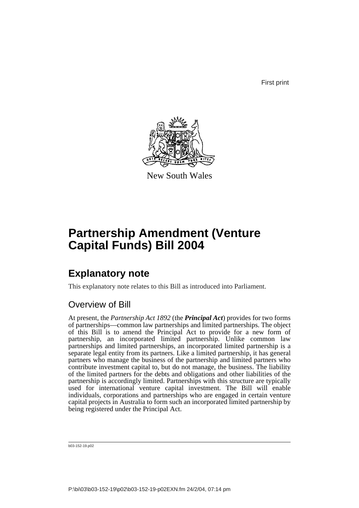First print



New South Wales

# **Partnership Amendment (Venture Capital Funds) Bill 2004**

## **Explanatory note**

This explanatory note relates to this Bill as introduced into Parliament.

## Overview of Bill

At present, the *Partnership Act 1892* (the *Principal Act*) provides for two forms of partnerships—common law partnerships and limited partnerships. The object of this Bill is to amend the Principal Act to provide for a new form of partnership, an incorporated limited partnership. Unlike common law partnerships and limited partnerships, an incorporated limited partnership is a separate legal entity from its partners. Like a limited partnership, it has general partners who manage the business of the partnership and limited partners who contribute investment capital to, but do not manage, the business. The liability of the limited partners for the debts and obligations and other liabilities of the partnership is accordingly limited. Partnerships with this structure are typically used for international venture capital investment. The Bill will enable individuals, corporations and partnerships who are engaged in certain venture capital projects in Australia to form such an incorporated limited partnership by being registered under the Principal Act.

b03-152-19.p02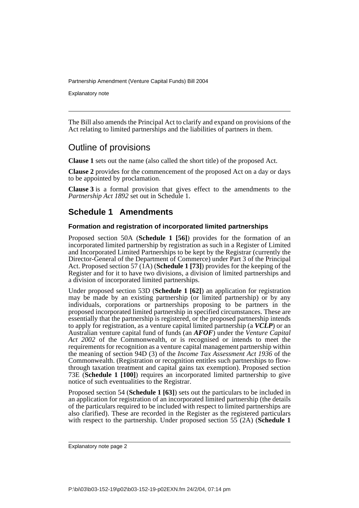Explanatory note

The Bill also amends the Principal Act to clarify and expand on provisions of the Act relating to limited partnerships and the liabilities of partners in them.

## Outline of provisions

**Clause 1** sets out the name (also called the short title) of the proposed Act.

**Clause 2** provides for the commencement of the proposed Act on a day or days to be appointed by proclamation.

**Clause 3** is a formal provision that gives effect to the amendments to the *Partnership Act 1892* set out in Schedule 1.

## **Schedule 1 Amendments**

#### **Formation and registration of incorporated limited partnerships**

Proposed section 50A (**Schedule 1 [56]**) provides for the formation of an incorporated limited partnership by registration as such in a Register of Limited and Incorporated Limited Partnerships to be kept by the Registrar (currently the Director-General of the Department of Commerce) under Part 3 of the Principal Act. Proposed section 57 (1A) (**Schedule 1 [73]**) provides for the keeping of the Register and for it to have two divisions, a division of limited partnerships and a division of incorporated limited partnerships.

Under proposed section 53D (**Schedule 1 [62]**) an application for registration may be made by an existing partnership (or limited partnership) or by any individuals, corporations or partnerships proposing to be partners in the proposed incorporated limited partnership in specified circumstances. These are essentially that the partnership is registered, or the proposed partnership intends to apply for registration, as a venture capital limited partnership (a *VCLP*) or an Australian venture capital fund of funds (an *AFOF*) under the *Venture Capital Act 2002* of the Commonwealth, or is recognised or intends to meet the requirements for recognition as a venture capital management partnership within the meaning of section 94D (3) of the *Income Tax Assessment Act 1936* of the Commonwealth. (Registration or recognition entitles such partnerships to flowthrough taxation treatment and capital gains tax exemption). Proposed section 73E (**Schedule 1 [100]**) requires an incorporated limited partnership to give notice of such eventualities to the Registrar.

Proposed section 54 (**Schedule 1 [63]**) sets out the particulars to be included in an application for registration of an incorporated limited partnership (the details of the particulars required to be included with respect to limited partnerships are also clarified). These are recorded in the Register as the registered particulars with respect to the partnership. Under proposed section 55 (2A) (**Schedule 1**

Explanatory note page 2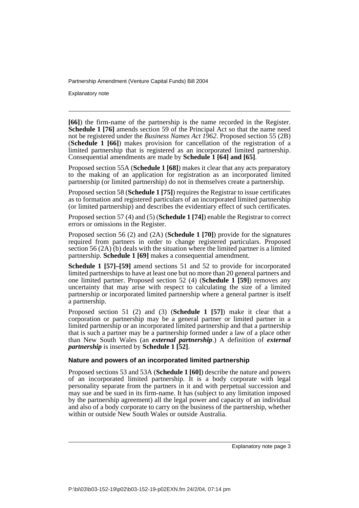Explanatory note

**[66]**) the firm-name of the partnership is the name recorded in the Register. **Schedule 1 [76]** amends section 59 of the Principal Act so that the name need not be registered under the *Business Names Act 1962*. Proposed section 55 (2B) (**Schedule 1 [66]**) makes provision for cancellation of the registration of a limited partnership that is registered as an incorporated limited partnership. Consequential amendments are made by **Schedule 1 [64] and [65]**.

Proposed section 55A (**Schedule 1 [68]**) makes it clear that any acts preparatory to the making of an application for registration as an incorporated limited partnership (or limited partnership) do not in themselves create a partnership.

Proposed section 58 (**Schedule 1 [75]**) requires the Registrar to issue certificates as to formation and registered particulars of an incorporated limited partnership (or limited partnership) and describes the evidentiary effect of such certificates.

Proposed section 57 (4) and (5) (**Schedule 1 [74]**) enable the Registrar to correct errors or omissions in the Register.

Proposed section 56 (2) and (2A) (**Schedule 1 [70]**) provide for the signatures required from partners in order to change registered particulars. Proposed section 56  $(2A)$  (b) deals with the situation where the limited partner is a limited partnership. **Schedule 1 [69]** makes a consequential amendment.

**Schedule 1 [57]–[59]** amend sections 51 and 52 to provide for incorporated limited partnerships to have at least one but no more than 20 general partners and one limited partner. Proposed section 52 (4) (**Schedule 1 [59]**) removes any uncertainty that may arise with respect to calculating the size of a limited partnership or incorporated limited partnership where a general partner is itself a partnership.

Proposed section 51 (2) and (3) (**Schedule 1 [57]**) make it clear that a corporation or partnership may be a general partner or limited partner in a limited partnership or an incorporated limited partnership and that a partnership that is such a partner may be a partnership formed under a law of a place other than New South Wales (an *external partnership*.) A definition of *external partnership* is inserted by **Schedule 1 [52]**.

#### **Nature and powers of an incorporated limited partnership**

Proposed sections 53 and 53A (**Schedule 1 [60]**) describe the nature and powers of an incorporated limited partnership. It is a body corporate with legal personality separate from the partners in it and with perpetual succession and may sue and be sued in its firm-name. It has (subject to any limitation imposed by the partnership agreement) all the legal power and capacity of an individual and also of a body corporate to carry on the business of the partnership, whether within or outside New South Wales or outside Australia.

Explanatory note page 3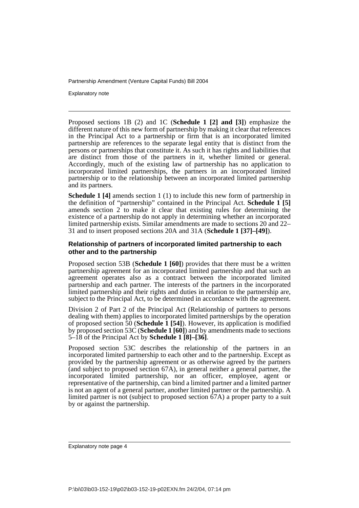Explanatory note

Proposed sections 1B (2) and 1C (**Schedule 1 [2] and [3]**) emphasize the different nature of this new form of partnership by making it clear that references in the Principal Act to a partnership or firm that is an incorporated limited partnership are references to the separate legal entity that is distinct from the persons or partnerships that constitute it. As such it has rights and liabilities that are distinct from those of the partners in it, whether limited or general. Accordingly, much of the existing law of partnership has no application to incorporated limited partnerships, the partners in an incorporated limited partnership or to the relationship between an incorporated limited partnership and its partners.

**Schedule 1 [4]** amends section 1 (1) to include this new form of partnership in the definition of "partnership" contained in the Principal Act. **Schedule 1 [5]** amends section  $2<sup>-</sup>$  to make it clear that existing rules for determining the existence of a partnership do not apply in determining whether an incorporated limited partnership exists. Similar amendments are made to sections 20 and 22– 31 and to insert proposed sections 20A and 31A (**Schedule 1 [37]–[49]**).

#### **Relationship of partners of incorporated limited partnership to each other and to the partnership**

Proposed section 53B (**Schedule 1 [60]**) provides that there must be a written partnership agreement for an incorporated limited partnership and that such an agreement operates also as a contract between the incorporated limited partnership and each partner. The interests of the partners in the incorporated limited partnership and their rights and duties in relation to the partnership are, subject to the Principal Act, to be determined in accordance with the agreement.

Division 2 of Part 2 of the Principal Act (Relationship of partners to persons dealing with them) applies to incorporated limited partnerships by the operation of proposed section 50 (**Schedule 1 [54]**). However, its application is modified by proposed section 53C (**Schedule 1 [60]**) and by amendments made to sections 5–18 of the Principal Act by **Schedule 1 [8]–[36]**.

Proposed section 53C describes the relationship of the partners in an incorporated limited partnership to each other and to the partnership. Except as provided by the partnership agreement or as otherwise agreed by the partners (and subject to proposed section  $67A$ ), in general neither a general partner, the incorporated limited partnership, nor an officer, employee, agent or representative of the partnership, can bind a limited partner and a limited partner is not an agent of a general partner, another limited partner or the partnership. A limited partner is not (subject to proposed section 67A) a proper party to a suit by or against the partnership.

Explanatory note page 4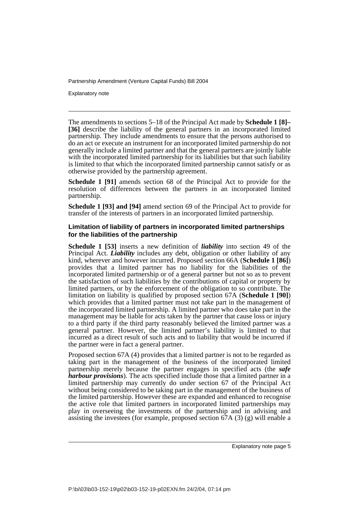Explanatory note

The amendments to sections 5–18 of the Principal Act made by **Schedule 1 [8]– [36]** describe the liability of the general partners in an incorporated limited partnership. They include amendments to ensure that the persons authorised to do an act or execute an instrument for an incorporated limited partnership do not generally include a limited partner and that the general partners are jointly liable with the incorporated limited partnership for its liabilities but that such liability is limited to that which the incorporated limited partnership cannot satisfy or as otherwise provided by the partnership agreement.

**Schedule 1 [91]** amends section 68 of the Principal Act to provide for the resolution of differences between the partners in an incorporated limited partnership.

**Schedule 1 [93] and [94]** amend section 69 of the Principal Act to provide for transfer of the interests of partners in an incorporated limited partnership.

#### **Limitation of liability of partners in incorporated limited partnerships for the liabilities of the partnership**

**Schedule 1 [53]** inserts a new definition of *liability* into section 49 of the Principal Act. *Liability* includes any debt, obligation or other liability of any kind, wherever and however incurred. Proposed section 66A (**Schedule 1 [86]**) provides that a limited partner has no liability for the liabilities of the incorporated limited partnership or of a general partner but not so as to prevent the satisfaction of such liabilities by the contributions of capital or property by limited partners, or by the enforcement of the obligation to so contribute. The limitation on liability is qualified by proposed section 67A (**Schedule 1 [90]**) which provides that a limited partner must not take part in the management of the incorporated limited partnership. A limited partner who does take part in the management may be liable for acts taken by the partner that cause loss or injury to a third party if the third party reasonably believed the limited partner was a general partner. However, the limited partner's liability is limited to that incurred as a direct result of such acts and to liability that would be incurred if the partner were in fact a general partner.

Proposed section 67A (4) provides that a limited partner is not to be regarded as taking part in the management of the business of the incorporated limited partnership merely because the partner engages in specified acts (the *safe harbour provisions*). The acts specified include those that a limited partner in a limited partnership may currently do under section 67 of the Principal Act without being considered to be taking part in the management of the business of the limited partnership. However these are expanded and enhanced to recognise the active role that limited partners in incorporated limited partnerships may play in overseeing the investments of the partnership and in advising and assisting the investees (for example, proposed section  $67A(3)(g)$  will enable a

Explanatory note page 5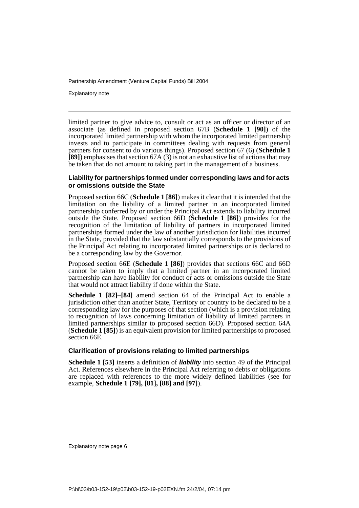Explanatory note

limited partner to give advice to, consult or act as an officer or director of an associate (as defined in proposed section 67B (**Schedule 1 [90]**) of the incorporated limited partnership with whom the incorporated limited partnership invests and to participate in committees dealing with requests from general partners for consent to do various things). Proposed section 67 (6) (**Schedule 1 [89]**) emphasises that section 67A (3) is not an exhaustive list of actions that may be taken that do not amount to taking part in the management of a business.

#### **Liability for partnerships formed under corresponding laws and for acts or omissions outside the State**

Proposed section 66C (**Schedule 1 [86]**) makes it clear that it is intended that the limitation on the liability of a limited partner in an incorporated limited partnership conferred by or under the Principal Act extends to liability incurred outside the State. Proposed section 66D (**Schedule 1 [86]**) provides for the recognition of the limitation of liability of partners in incorporated limited partnerships formed under the law of another jurisdiction for liabilities incurred in the State, provided that the law substantially corresponds to the provisions of the Principal Act relating to incorporated limited partnerships or is declared to be a corresponding law by the Governor.

Proposed section 66E (**Schedule 1 [86]**) provides that sections 66C and 66D cannot be taken to imply that a limited partner in an incorporated limited partnership can have liability for conduct or acts or omissions outside the State that would not attract liability if done within the State.

**Schedule 1 [82]–[84]** amend section 64 of the Principal Act to enable a jurisdiction other than another State, Territory or country to be declared to be a corresponding law for the purposes of that section (which is a provision relating to recognition of laws concerning limitation of liability of limited partners in limited partnerships similar to proposed section 66D). Proposed section 64A (**Schedule 1 [85]**) is an equivalent provision for limited partnerships to proposed section 66E.

#### **Clarification of provisions relating to limited partnerships**

**Schedule 1 [53]** inserts a definition of *liability* into section 49 of the Principal Act. References elsewhere in the Principal Act referring to debts or obligations are replaced with references to the more widely defined liabilities (see for example, **Schedule 1 [79], [81], [88] and [97]**).

Explanatory note page 6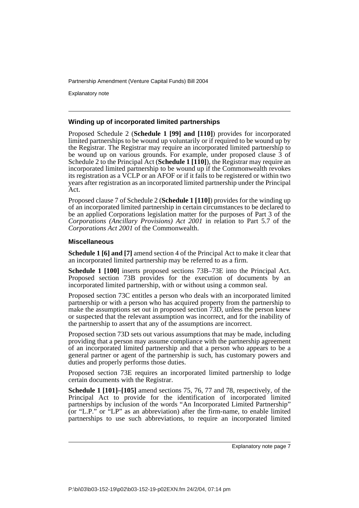Explanatory note

#### **Winding up of incorporated limited partnerships**

Proposed Schedule 2 (**Schedule 1 [99] and [110]**) provides for incorporated limited partnerships to be wound up voluntarily or if required to be wound up by the Registrar. The Registrar may require an incorporated limited partnership to be wound up on various grounds. For example, under proposed clause 3 of Schedule 2 to the Principal Act (**Schedule 1 [110]**), the Registrar may require an incorporated limited partnership to be wound up if the Commonwealth revokes its registration as a VCLP or an AFOF or if it fails to be registered or within two years after registration as an incorporated limited partnership under the Principal Act.

Proposed clause 7 of Schedule 2 (**Schedule 1 [110]**) provides for the winding up of an incorporated limited partnership in certain circumstances to be declared to be an applied Corporations legislation matter for the purposes of Part 3 of the *Corporations (Ancillary Provisions) Act 2001* in relation to Part 5.7 of the *Corporations Act 2001* of the Commonwealth.

#### **Miscellaneous**

**Schedule 1 [6] and [7]** amend section 4 of the Principal Act to make it clear that an incorporated limited partnership may be referred to as a firm.

**Schedule 1 [100]** inserts proposed sections 73B–73E into the Principal Act. Proposed section 73B provides for the execution of documents by an incorporated limited partnership, with or without using a common seal.

Proposed section 73C entitles a person who deals with an incorporated limited partnership or with a person who has acquired property from the partnership to make the assumptions set out in proposed section 73D, unless the person knew or suspected that the relevant assumption was incorrect, and for the inability of the partnership to assert that any of the assumptions are incorrect.

Proposed section 73D sets out various assumptions that may be made, including providing that a person may assume compliance with the partnership agreement of an incorporated limited partnership and that a person who appears to be a general partner or agent of the partnership is such, has customary powers and duties and properly performs those duties.

Proposed section 73E requires an incorporated limited partnership to lodge certain documents with the Registrar.

**Schedule 1 [101]–[105]** amend sections 75, 76, 77 and 78, respectively, of the Principal Act to provide for the identification of incorporated limited partnerships by inclusion of the words "An Incorporated Limited Partnership" (or "L.P." or "LP" as an abbreviation) after the firm-name, to enable limited partnerships to use such abbreviations, to require an incorporated limited

Explanatory note page 7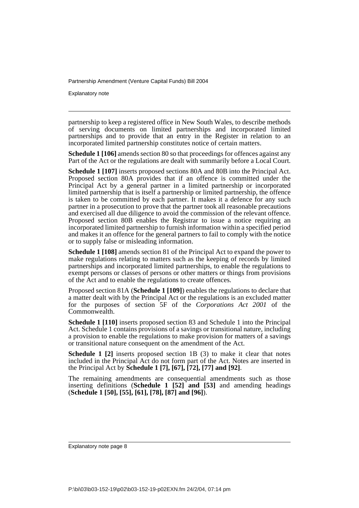Explanatory note

partnership to keep a registered office in New South Wales, to describe methods of serving documents on limited partnerships and incorporated limited partnerships and to provide that an entry in the Register in relation to an incorporated limited partnership constitutes notice of certain matters.

**Schedule 1 [106]** amends section 80 so that proceedings for offences against any Part of the Act or the regulations are dealt with summarily before a Local Court.

**Schedule 1 [107]** inserts proposed sections 80A and 80B into the Principal Act. Proposed section 80A provides that if an offence is committed under the Principal Act by a general partner in a limited partnership or incorporated limited partnership that is itself a partnership or limited partnership, the offence is taken to be committed by each partner. It makes it a defence for any such partner in a prosecution to prove that the partner took all reasonable precautions and exercised all due diligence to avoid the commission of the relevant offence. Proposed section 80B enables the Registrar to issue a notice requiring an incorporated limited partnership to furnish information within a specified period and makes it an offence for the general partners to fail to comply with the notice or to supply false or misleading information.

**Schedule 1 [108]** amends section 81 of the Principal Act to expand the power to make regulations relating to matters such as the keeping of records by limited partnerships and incorporated limited partnerships, to enable the regulations to exempt persons or classes of persons or other matters or things from provisions of the Act and to enable the regulations to create offences.

Proposed section 81A (**Schedule 1 [109]**) enables the regulations to declare that a matter dealt with by the Principal Act or the regulations is an excluded matter for the purposes of section 5F of the *Corporations Act 2001* of the Commonwealth.

**Schedule 1 [110]** inserts proposed section 83 and Schedule 1 into the Principal Act. Schedule 1 contains provisions of a savings or transitional nature, including a provision to enable the regulations to make provision for matters of a savings or transitional nature consequent on the amendment of the Act.

**Schedule 1** [2] inserts proposed section 1B (3) to make it clear that notes included in the Principal Act do not form part of the Act. Notes are inserted in the Principal Act by **Schedule 1 [7], [67], [72], [77] and [92]**.

The remaining amendments are consequential amendments such as those inserting definitions (**Schedule 1 [52] and [53]** and amending headings (**Schedule 1 [50], [55], [61], [78], [87] and [96]**).

Explanatory note page 8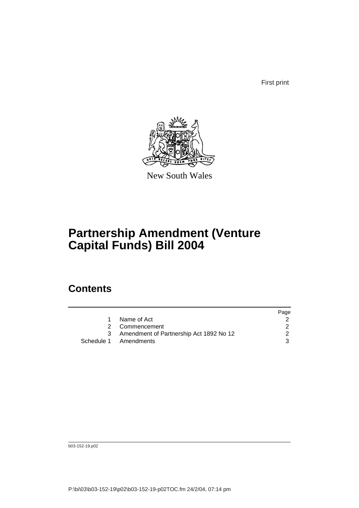First print



New South Wales

# **Partnership Amendment (Venture Capital Funds) Bill 2004**

## **Contents**

|                                         | Page |
|-----------------------------------------|------|
| Name of Act                             |      |
| 2 Commencement                          |      |
| Amendment of Partnership Act 1892 No 12 |      |
| Schedule 1 Amendments                   | 3    |

b03-152-19.p02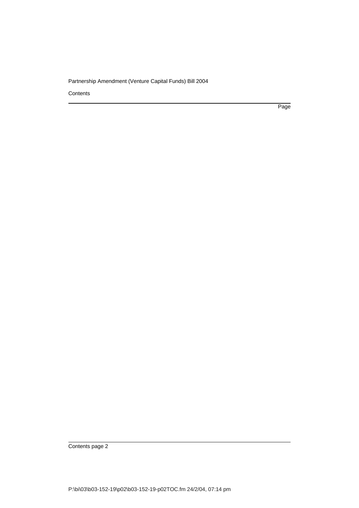**Contents** 

Page

Contents page 2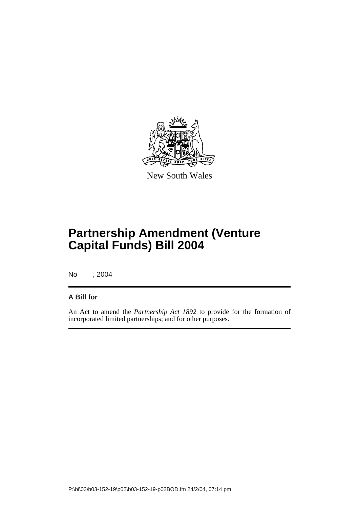

New South Wales

# **Partnership Amendment (Venture Capital Funds) Bill 2004**

No , 2004

### **A Bill for**

An Act to amend the *Partnership Act 1892* to provide for the formation of incorporated limited partnerships; and for other purposes.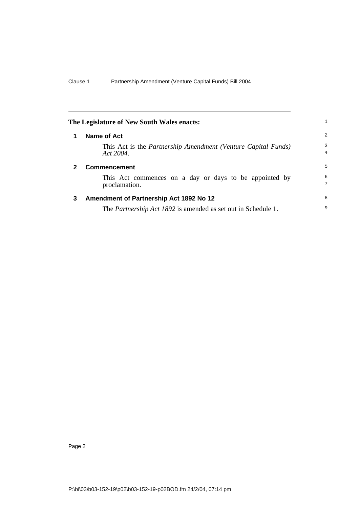|              | The Legislature of New South Wales enacts:                                        | 1.                  |
|--------------|-----------------------------------------------------------------------------------|---------------------|
| 1            | Name of Act                                                                       | 2                   |
|              | This Act is the <i>Partnership Amendment</i> (Venture Capital Funds)<br>Act 2004. | 3<br>4              |
| $\mathbf{2}$ | <b>Commencement</b>                                                               | 5                   |
|              | This Act commences on a day or days to be appointed by<br>proclamation.           | 6<br>$\overline{7}$ |
| 3            | Amendment of Partnership Act 1892 No 12                                           | 8                   |
|              | The <i>Partnership Act 1892</i> is amended as set out in Schedule 1.              | 9                   |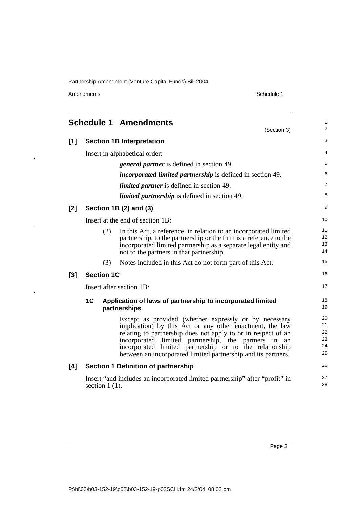Amendments Schedule 1

 $\frac{1}{2}$ 

 $\frac{1}{2}$ 

 $\bar{z}$ 

|     |                   | <b>Schedule 1 Amendments</b><br>(Section 3)                                                                                                                                                                                                                                                                                                                               | 1<br>$\overline{c}$              |
|-----|-------------------|---------------------------------------------------------------------------------------------------------------------------------------------------------------------------------------------------------------------------------------------------------------------------------------------------------------------------------------------------------------------------|----------------------------------|
| [1] |                   | <b>Section 1B Interpretation</b>                                                                                                                                                                                                                                                                                                                                          | 3                                |
|     |                   | Insert in alphabetical order:                                                                                                                                                                                                                                                                                                                                             | 4                                |
|     |                   | <i>general partner</i> is defined in section 49.                                                                                                                                                                                                                                                                                                                          | 5                                |
|     |                   | <i>incorporated limited partnership</i> is defined in section 49.                                                                                                                                                                                                                                                                                                         | 6                                |
|     |                   | <i>limited partner</i> is defined in section 49.                                                                                                                                                                                                                                                                                                                          | 7                                |
|     |                   | <i>limited partnership</i> is defined in section 49.                                                                                                                                                                                                                                                                                                                      | 8                                |
| [2] |                   | Section 1B (2) and (3)                                                                                                                                                                                                                                                                                                                                                    | 9                                |
|     |                   | Insert at the end of section 1B:                                                                                                                                                                                                                                                                                                                                          | 10                               |
|     | (2)               | In this Act, a reference, in relation to an incorporated limited<br>partnership, to the partnership or the firm is a reference to the<br>incorporated limited partnership as a separate legal entity and<br>not to the partners in that partnership.                                                                                                                      | 11<br>12<br>13<br>14             |
|     | (3)               | Notes included in this Act do not form part of this Act.                                                                                                                                                                                                                                                                                                                  | 15                               |
| [3] | <b>Section 1C</b> |                                                                                                                                                                                                                                                                                                                                                                           | 16                               |
|     |                   | Insert after section 1B:                                                                                                                                                                                                                                                                                                                                                  | 17                               |
|     | 1 <sup>C</sup>    | Application of laws of partnership to incorporated limited<br>partnerships                                                                                                                                                                                                                                                                                                | 18<br>19                         |
|     |                   | Except as provided (whether expressly or by necessary<br>implication) by this Act or any other enactment, the law<br>relating to partnership does not apply to or in respect of an<br>incorporated limited partnership, the partners in<br>an<br>incorporated limited partnership or to the relationship<br>between an incorporated limited partnership and its partners. | 20<br>21<br>22<br>23<br>24<br>25 |
| [4] |                   | <b>Section 1 Definition of partnership</b>                                                                                                                                                                                                                                                                                                                                | 26                               |
|     | section $1(1)$ .  | Insert "and includes an incorporated limited partnership" after "profit" in                                                                                                                                                                                                                                                                                               | 27<br>28                         |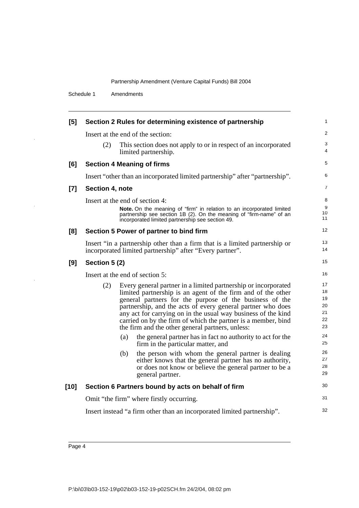Schedule 1 Amendments

| [5]    |                                 |     | Section 2 Rules for determining existence of partnership                                                                                                                                                                                                                                                                                                                                                                                       | 1                                      |  |  |
|--------|---------------------------------|-----|------------------------------------------------------------------------------------------------------------------------------------------------------------------------------------------------------------------------------------------------------------------------------------------------------------------------------------------------------------------------------------------------------------------------------------------------|----------------------------------------|--|--|
|        |                                 |     | Insert at the end of the section:                                                                                                                                                                                                                                                                                                                                                                                                              | 2                                      |  |  |
|        | (2)                             |     | This section does not apply to or in respect of an incorporated<br>limited partnership.                                                                                                                                                                                                                                                                                                                                                        | 3<br>4                                 |  |  |
| [6]    |                                 |     | <b>Section 4 Meaning of firms</b>                                                                                                                                                                                                                                                                                                                                                                                                              | 5                                      |  |  |
|        |                                 |     | Insert "other than an incorporated limited partnership" after "partnership".                                                                                                                                                                                                                                                                                                                                                                   | 6                                      |  |  |
| $[7]$  | Section 4, note                 |     |                                                                                                                                                                                                                                                                                                                                                                                                                                                | 7                                      |  |  |
|        |                                 |     | Insert at the end of section 4:<br>Note. On the meaning of "firm" in relation to an incorporated limited<br>partnership see section 1B (2). On the meaning of "firm-name" of an<br>incorporated limited partnership see section 49.                                                                                                                                                                                                            | 8<br>9<br>10<br>11                     |  |  |
| [8]    |                                 |     | Section 5 Power of partner to bind firm                                                                                                                                                                                                                                                                                                                                                                                                        | 12                                     |  |  |
|        |                                 |     | Insert "in a partnership other than a firm that is a limited partnership or<br>incorporated limited partnership" after "Every partner".                                                                                                                                                                                                                                                                                                        | 13<br>14                               |  |  |
| [9]    | Section 5 (2)                   |     |                                                                                                                                                                                                                                                                                                                                                                                                                                                |                                        |  |  |
|        | Insert at the end of section 5: |     |                                                                                                                                                                                                                                                                                                                                                                                                                                                |                                        |  |  |
|        | (2)                             |     | Every general partner in a limited partnership or incorporated<br>limited partnership is an agent of the firm and of the other<br>general partners for the purpose of the business of the<br>partnership, and the acts of every general partner who does<br>any act for carrying on in the usual way business of the kind<br>carried on by the firm of which the partner is a member, bind<br>the firm and the other general partners, unless: | 17<br>18<br>19<br>20<br>21<br>22<br>23 |  |  |
|        |                                 | (a) | the general partner has in fact no authority to act for the<br>firm in the particular matter, and                                                                                                                                                                                                                                                                                                                                              | 24<br>25                               |  |  |
|        |                                 | (b) | the person with whom the general partner is dealing<br>either knows that the general partner has no authority,<br>or does not know or believe the general partner to be a<br>general partner.                                                                                                                                                                                                                                                  | 26<br>27<br>28<br>29                   |  |  |
| $[10]$ |                                 |     | Section 6 Partners bound by acts on behalf of firm                                                                                                                                                                                                                                                                                                                                                                                             | 30                                     |  |  |
|        |                                 |     | Omit "the firm" where firstly occurring.                                                                                                                                                                                                                                                                                                                                                                                                       | 31                                     |  |  |
|        |                                 |     | Insert instead "a firm other than an incorporated limited partnership".                                                                                                                                                                                                                                                                                                                                                                        | 32                                     |  |  |
|        |                                 |     |                                                                                                                                                                                                                                                                                                                                                                                                                                                |                                        |  |  |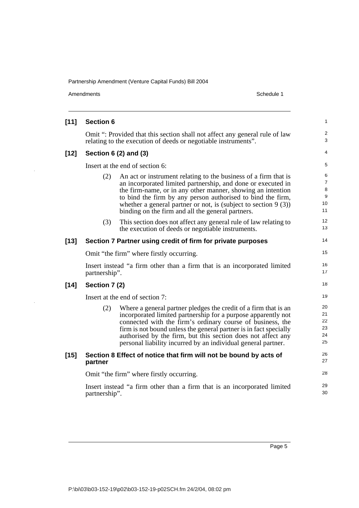$\hat{\mathcal{A}}$ 

J,

| Amendments                                                                                                                                    | Schedule 1                                                                                                                                                                                                                                                                                                                                                                                           |                                                                                                                                                                                                                                                                                                                                                                                                                                                                                                                                                           |  |  |
|-----------------------------------------------------------------------------------------------------------------------------------------------|------------------------------------------------------------------------------------------------------------------------------------------------------------------------------------------------------------------------------------------------------------------------------------------------------------------------------------------------------------------------------------------------------|-----------------------------------------------------------------------------------------------------------------------------------------------------------------------------------------------------------------------------------------------------------------------------------------------------------------------------------------------------------------------------------------------------------------------------------------------------------------------------------------------------------------------------------------------------------|--|--|
|                                                                                                                                               |                                                                                                                                                                                                                                                                                                                                                                                                      |                                                                                                                                                                                                                                                                                                                                                                                                                                                                                                                                                           |  |  |
| Omit ": Provided that this section shall not affect any general rule of law<br>relating to the execution of deeds or negotiable instruments". |                                                                                                                                                                                                                                                                                                                                                                                                      |                                                                                                                                                                                                                                                                                                                                                                                                                                                                                                                                                           |  |  |
|                                                                                                                                               |                                                                                                                                                                                                                                                                                                                                                                                                      |                                                                                                                                                                                                                                                                                                                                                                                                                                                                                                                                                           |  |  |
|                                                                                                                                               |                                                                                                                                                                                                                                                                                                                                                                                                      |                                                                                                                                                                                                                                                                                                                                                                                                                                                                                                                                                           |  |  |
| (2)                                                                                                                                           | An act or instrument relating to the business of a firm that is<br>an incorporated limited partnership, and done or executed in<br>the firm-name, or in any other manner, showing an intention<br>to bind the firm by any person authorised to bind the firm,<br>whether a general partner or not, is (subject to section $9(3)$ )<br>binding on the firm and all the general partners.              | 10<br>11                                                                                                                                                                                                                                                                                                                                                                                                                                                                                                                                                  |  |  |
| (3)                                                                                                                                           | This section does not affect any general rule of law relating to<br>the execution of deeds or negotiable instruments.                                                                                                                                                                                                                                                                                | 12<br>13                                                                                                                                                                                                                                                                                                                                                                                                                                                                                                                                                  |  |  |
|                                                                                                                                               |                                                                                                                                                                                                                                                                                                                                                                                                      | 14                                                                                                                                                                                                                                                                                                                                                                                                                                                                                                                                                        |  |  |
|                                                                                                                                               |                                                                                                                                                                                                                                                                                                                                                                                                      | 15                                                                                                                                                                                                                                                                                                                                                                                                                                                                                                                                                        |  |  |
|                                                                                                                                               |                                                                                                                                                                                                                                                                                                                                                                                                      | 16<br>17                                                                                                                                                                                                                                                                                                                                                                                                                                                                                                                                                  |  |  |
|                                                                                                                                               |                                                                                                                                                                                                                                                                                                                                                                                                      | 18                                                                                                                                                                                                                                                                                                                                                                                                                                                                                                                                                        |  |  |
|                                                                                                                                               |                                                                                                                                                                                                                                                                                                                                                                                                      | 19                                                                                                                                                                                                                                                                                                                                                                                                                                                                                                                                                        |  |  |
| (2)                                                                                                                                           | Where a general partner pledges the credit of a firm that is an<br>incorporated limited partnership for a purpose apparently not<br>connected with the firm's ordinary course of business, the<br>firm is not bound unless the general partner is in fact specially<br>authorised by the firm, but this section does not affect any<br>personal liability incurred by an individual general partner. | 20<br>21<br>22<br>23<br>24<br>25                                                                                                                                                                                                                                                                                                                                                                                                                                                                                                                          |  |  |
| partner                                                                                                                                       |                                                                                                                                                                                                                                                                                                                                                                                                      | 26<br>27                                                                                                                                                                                                                                                                                                                                                                                                                                                                                                                                                  |  |  |
|                                                                                                                                               |                                                                                                                                                                                                                                                                                                                                                                                                      | 28                                                                                                                                                                                                                                                                                                                                                                                                                                                                                                                                                        |  |  |
|                                                                                                                                               |                                                                                                                                                                                                                                                                                                                                                                                                      | 29<br>30                                                                                                                                                                                                                                                                                                                                                                                                                                                                                                                                                  |  |  |
|                                                                                                                                               |                                                                                                                                                                                                                                                                                                                                                                                                      | <b>Section 6</b><br>Section $6(2)$ and $(3)$<br>Insert at the end of section 6:<br>Section 7 Partner using credit of firm for private purposes<br>Omit "the firm" where firstly occurring.<br>Insert instead "a firm other than a firm that is an incorporated limited<br>partnership".<br>Section 7 (2)<br>Insert at the end of section 7:<br>Section 8 Effect of notice that firm will not be bound by acts of<br>Omit "the firm" where firstly occurring.<br>Insert instead "a firm other than a firm that is an incorporated limited<br>partnership". |  |  |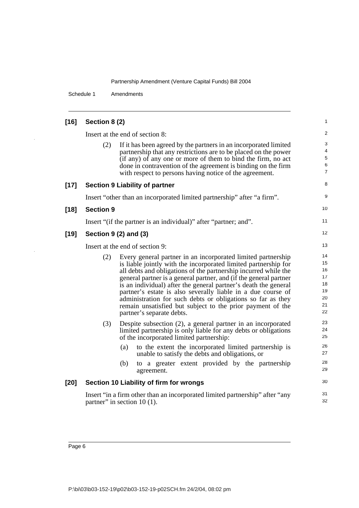Schedule 1 Amendments

| $[16]$ | Section 8 (2)                                                                                                                                                                                                                                                                                                                                                                                                                                                                                                                                                               | 1                                                        |
|--------|-----------------------------------------------------------------------------------------------------------------------------------------------------------------------------------------------------------------------------------------------------------------------------------------------------------------------------------------------------------------------------------------------------------------------------------------------------------------------------------------------------------------------------------------------------------------------------|----------------------------------------------------------|
|        | Insert at the end of section 8:                                                                                                                                                                                                                                                                                                                                                                                                                                                                                                                                             | 2                                                        |
|        | (2)<br>If it has been agreed by the partners in an incorporated limited<br>partnership that any restrictions are to be placed on the power<br>(if any) of any one or more of them to bind the firm, no act<br>done in contravention of the agreement is binding on the firm<br>with respect to persons having notice of the agreement.                                                                                                                                                                                                                                      | 3<br>$\overline{4}$<br>$\sqrt{5}$<br>6<br>$\overline{7}$ |
| $[17]$ | <b>Section 9 Liability of partner</b>                                                                                                                                                                                                                                                                                                                                                                                                                                                                                                                                       | 8                                                        |
|        | Insert "other than an incorporated limited partnership" after "a firm".                                                                                                                                                                                                                                                                                                                                                                                                                                                                                                     | 9                                                        |
| $[18]$ | <b>Section 9</b>                                                                                                                                                                                                                                                                                                                                                                                                                                                                                                                                                            | 10                                                       |
|        | Insert "(if the partner is an individual)" after "partner; and".                                                                                                                                                                                                                                                                                                                                                                                                                                                                                                            | 11                                                       |
| $[19]$ | Section 9 (2) and (3)                                                                                                                                                                                                                                                                                                                                                                                                                                                                                                                                                       | 12                                                       |
|        | Insert at the end of section 9:                                                                                                                                                                                                                                                                                                                                                                                                                                                                                                                                             | 13                                                       |
|        | (2)<br>Every general partner in an incorporated limited partnership<br>is liable jointly with the incorporated limited partnership for<br>all debts and obligations of the partnership incurred while the<br>general partner is a general partner, and (if the general partner<br>is an individual) after the general partner's death the general<br>partner's estate is also severally liable in a due course of<br>administration for such debts or obligations so far as they<br>remain unsatisfied but subject to the prior payment of the<br>partner's separate debts. | 14<br>15<br>16<br>17<br>18<br>19<br>20<br>21<br>22<br>23 |
|        | (3)<br>Despite subsection (2), a general partner in an incorporated<br>limited partnership is only liable for any debts or obligations<br>of the incorporated limited partnership:                                                                                                                                                                                                                                                                                                                                                                                          | 24<br>25                                                 |
|        | to the extent the incorporated limited partnership is<br>(a)<br>unable to satisfy the debts and obligations, or                                                                                                                                                                                                                                                                                                                                                                                                                                                             | 26<br>27                                                 |
|        | (b)<br>to a greater extent provided by the partnership<br>agreement.                                                                                                                                                                                                                                                                                                                                                                                                                                                                                                        | 28<br>29                                                 |
| $[20]$ | Section 10 Liability of firm for wrongs                                                                                                                                                                                                                                                                                                                                                                                                                                                                                                                                     | 30                                                       |
|        | Insert "in a firm other than an incorporated limited partnership" after "any<br>partner" in section $10(1)$ .                                                                                                                                                                                                                                                                                                                                                                                                                                                               | 31<br>32                                                 |

l,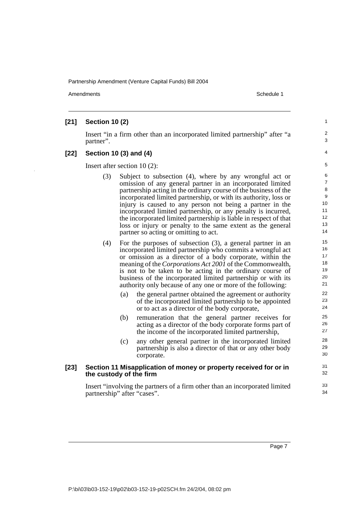Amendments **Amendments** Schedule 1

# **[21] Section 10 (2)**

Insert "in a firm other than an incorporated limited partnership" after "a partner".

#### **[22] Section 10 (3) and (4)**

Insert after section 10 (2):

- (3) Subject to subsection (4), where by any wrongful act or omission of any general partner in an incorporated limited partnership acting in the ordinary course of the business of the incorporated limited partnership, or with its authority, loss or injury is caused to any person not being a partner in the incorporated limited partnership, or any penalty is incurred, the incorporated limited partnership is liable in respect of that loss or injury or penalty to the same extent as the general partner so acting or omitting to act.
- (4) For the purposes of subsection (3), a general partner in an incorporated limited partnership who commits a wrongful act or omission as a director of a body corporate, within the meaning of the *Corporations Act 2001* of the Commonwealth, is not to be taken to be acting in the ordinary course of business of the incorporated limited partnership or with its authority only because of any one or more of the following:
	- (a) the general partner obtained the agreement or authority of the incorporated limited partnership to be appointed or to act as a director of the body corporate,
	- (b) remuneration that the general partner receives for acting as a director of the body corporate forms part of the income of the incorporated limited partnership,
	- (c) any other general partner in the incorporated limited partnership is also a director of that or any other body corporate.

#### **[23] Section 11 Misapplication of money or property received for or in the custody of the firm**

Insert "involving the partners of a firm other than an incorporated limited partnership" after "cases".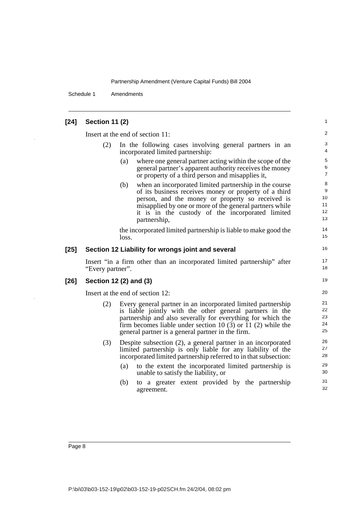Schedule 1 Amendments

| [24] | <b>Section 11 (2)</b> |  |  |
|------|-----------------------|--|--|
|------|-----------------------|--|--|

Insert at the end of section 11:

- (2) In the following cases involving general partners in an incorporated limited partnership:
	- (a) where one general partner acting within the scope of the general partner's apparent authority receives the money or property of a third person and misapplies it,

(b) when an incorporated limited partnership in the course of its business receives money or property of a third person, and the money or property so received is misapplied by one or more of the general partners while it is in the custody of the incorporated limited partnership,

the incorporated limited partnership is liable to make good the loss.

#### **[25] Section 12 Liability for wrongs joint and several**

Insert "in a firm other than an incorporated limited partnership" after "Every partner".

**[26] Section 12 (2) and (3)** 

Insert at the end of section 12:

- (2) Every general partner in an incorporated limited partnership is liable jointly with the other general partners in the partnership and also severally for everything for which the firm becomes liable under section 10 (3) or 11 (2) while the general partner is a general partner in the firm.
- (3) Despite subsection (2), a general partner in an incorporated limited partnership is only liable for any liability of the incorporated limited partnership referred to in that subsection:
	- (a) to the extent the incorporated limited partnership is unable to satisfy the liability, or
	- (b) to a greater extent provided by the partnership agreement.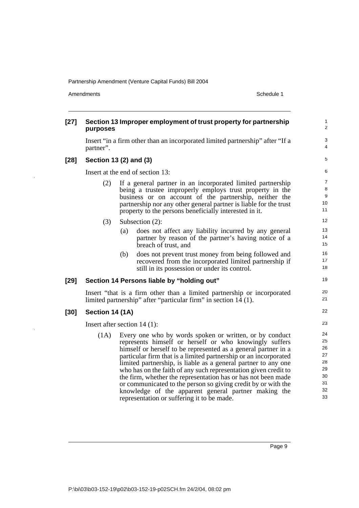Amendments Schedule 1

| $[27]$ | purposes                       |     | Section 13 Improper employment of trust property for partnership                                                                                                                                                                                                                                                                                                                                                                                                                                                                                                                                                                     | $\mathbf 1$<br>$\overline{c}$                            |
|--------|--------------------------------|-----|--------------------------------------------------------------------------------------------------------------------------------------------------------------------------------------------------------------------------------------------------------------------------------------------------------------------------------------------------------------------------------------------------------------------------------------------------------------------------------------------------------------------------------------------------------------------------------------------------------------------------------------|----------------------------------------------------------|
|        | partner".                      |     | Insert "in a firm other than an incorporated limited partnership" after "If a                                                                                                                                                                                                                                                                                                                                                                                                                                                                                                                                                        | 3<br>4                                                   |
| $[28]$ | Section 13 (2) and (3)         |     |                                                                                                                                                                                                                                                                                                                                                                                                                                                                                                                                                                                                                                      | 5                                                        |
|        |                                |     | Insert at the end of section 13:                                                                                                                                                                                                                                                                                                                                                                                                                                                                                                                                                                                                     | 6                                                        |
|        | (2)                            |     | If a general partner in an incorporated limited partnership<br>being a trustee improperly employs trust property in the<br>business or on account of the partnership, neither the<br>partnership nor any other general partner is liable for the trust<br>property to the persons beneficially interested in it.                                                                                                                                                                                                                                                                                                                     | $\overline{7}$<br>8<br>9<br>10<br>11                     |
|        | (3)                            |     | Subsection (2):                                                                                                                                                                                                                                                                                                                                                                                                                                                                                                                                                                                                                      | 12                                                       |
|        |                                | (a) | does not affect any liability incurred by any general<br>partner by reason of the partner's having notice of a<br>breach of trust, and                                                                                                                                                                                                                                                                                                                                                                                                                                                                                               | 13<br>14<br>15                                           |
|        |                                | (b) | does not prevent trust money from being followed and<br>recovered from the incorporated limited partnership if<br>still in its possession or under its control.                                                                                                                                                                                                                                                                                                                                                                                                                                                                      | 16<br>17<br>18                                           |
| $[29]$ |                                |     | Section 14 Persons liable by "holding out"                                                                                                                                                                                                                                                                                                                                                                                                                                                                                                                                                                                           | 19                                                       |
|        |                                |     | Insert "that is a firm other than a limited partnership or incorporated<br>limited partnership" after "particular firm" in section 14 (1).                                                                                                                                                                                                                                                                                                                                                                                                                                                                                           | 20<br>21                                                 |
| $[30]$ | Section 14 (1A)                |     |                                                                                                                                                                                                                                                                                                                                                                                                                                                                                                                                                                                                                                      | 22                                                       |
|        | Insert after section $14(1)$ : |     |                                                                                                                                                                                                                                                                                                                                                                                                                                                                                                                                                                                                                                      | 23                                                       |
|        | (1A)                           |     | Every one who by words spoken or written, or by conduct<br>represents himself or herself or who knowingly suffers<br>himself or herself to be represented as a general partner in a<br>particular firm that is a limited partnership or an incorporated<br>limited partnership, is liable as a general partner to any one<br>who has on the faith of any such representation given credit to<br>the firm, whether the representation has or has not been made<br>or communicated to the person so giving credit by or with the<br>knowledge of the apparent general partner making the<br>representation or suffering it to be made. | 24<br>25<br>26<br>27<br>28<br>29<br>30<br>31<br>32<br>33 |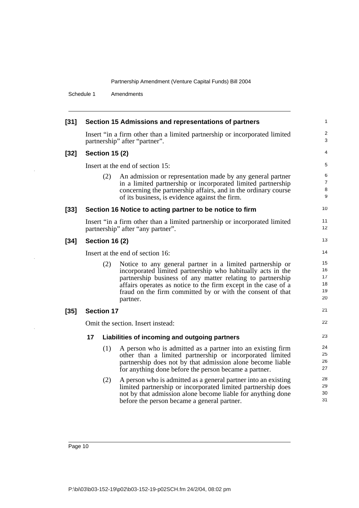Schedule 1 Amendments

| $[31]$ |                                  |                       | Section 15 Admissions and representations of partners                                                                                                                                                                                                                                                                              | 1                                |  |
|--------|----------------------------------|-----------------------|------------------------------------------------------------------------------------------------------------------------------------------------------------------------------------------------------------------------------------------------------------------------------------------------------------------------------------|----------------------------------|--|
|        |                                  |                       | Insert "in a firm other than a limited partnership or incorporated limited<br>partnership" after "partner".                                                                                                                                                                                                                        | $\overline{c}$<br>3              |  |
| $[32]$ |                                  | <b>Section 15 (2)</b> |                                                                                                                                                                                                                                                                                                                                    | 4                                |  |
|        |                                  |                       | Insert at the end of section 15:                                                                                                                                                                                                                                                                                                   | 5                                |  |
|        |                                  | (2)                   | An admission or representation made by any general partner<br>in a limited partnership or incorporated limited partnership<br>concerning the partnership affairs, and in the ordinary course<br>of its business, is evidence against the firm.                                                                                     | 6<br>7<br>8<br>9                 |  |
| $[33]$ |                                  |                       | Section 16 Notice to acting partner to be notice to firm                                                                                                                                                                                                                                                                           | 10                               |  |
|        |                                  |                       | Insert "in a firm other than a limited partnership or incorporated limited<br>partnership" after "any partner".                                                                                                                                                                                                                    | 11<br>12                         |  |
| $[34]$ |                                  | <b>Section 16 (2)</b> |                                                                                                                                                                                                                                                                                                                                    | 13                               |  |
|        | Insert at the end of section 16: |                       |                                                                                                                                                                                                                                                                                                                                    |                                  |  |
|        |                                  | (2)                   | Notice to any general partner in a limited partnership or<br>incorporated limited partnership who habitually acts in the<br>partnership business of any matter relating to partnership<br>affairs operates as notice to the firm except in the case of a<br>fraud on the firm committed by or with the consent of that<br>partner. | 15<br>16<br>17<br>18<br>19<br>20 |  |
| $[35]$ |                                  | <b>Section 17</b>     |                                                                                                                                                                                                                                                                                                                                    | 21                               |  |
|        |                                  |                       | Omit the section. Insert instead:                                                                                                                                                                                                                                                                                                  | 22                               |  |
|        | 17                               |                       | Liabilities of incoming and outgoing partners                                                                                                                                                                                                                                                                                      | 23                               |  |
|        |                                  | (1)                   | A person who is admitted as a partner into an existing firm<br>other than a limited partnership or incorporated limited<br>partnership does not by that admission alone become liable<br>for anything done before the person became a partner.                                                                                     | 24<br>25<br>26<br>27             |  |
|        |                                  | (2)                   | A person who is admitted as a general partner into an existing<br>limited partnership or incorporated limited partnership does<br>not by that admission alone become liable for anything done<br>before the person became a general partner.                                                                                       | 28<br>29<br>30<br>31             |  |
|        |                                  |                       |                                                                                                                                                                                                                                                                                                                                    |                                  |  |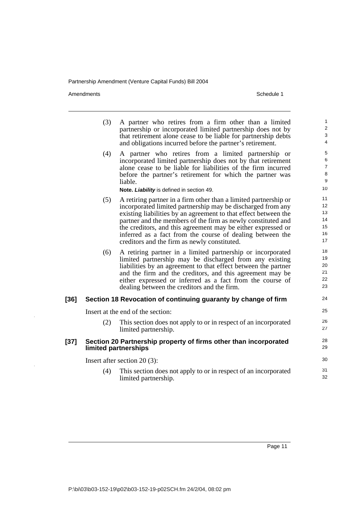Amendments Schedule 1

l.

|        | (3) | A partner who retires from a firm other than a limited<br>partnership or incorporated limited partnership does not by<br>that retirement alone cease to be liable for partnership debts<br>and obligations incurred before the partner's retirement.                                                                                                                                                                                            | $\mathbf{1}$<br>2<br>3<br>4                             |
|--------|-----|-------------------------------------------------------------------------------------------------------------------------------------------------------------------------------------------------------------------------------------------------------------------------------------------------------------------------------------------------------------------------------------------------------------------------------------------------|---------------------------------------------------------|
|        | (4) | A partner who retires from a limited partnership or<br>incorporated limited partnership does not by that retirement<br>alone cease to be liable for liabilities of the firm incurred<br>before the partner's retirement for which the partner was<br>liable.<br>Note. Liability is defined in section 49.                                                                                                                                       | $\sqrt{5}$<br>6<br>$\overline{7}$<br>$\,8\,$<br>9<br>10 |
|        | (5) | A retiring partner in a firm other than a limited partnership or<br>incorporated limited partnership may be discharged from any<br>existing liabilities by an agreement to that effect between the<br>partner and the members of the firm as newly constituted and<br>the creditors, and this agreement may be either expressed or<br>inferred as a fact from the course of dealing between the<br>creditors and the firm as newly constituted. | 11<br>12<br>13<br>14<br>15<br>16<br>17                  |
|        | (6) | A retiring partner in a limited partnership or incorporated<br>limited partnership may be discharged from any existing<br>liabilities by an agreement to that effect between the partner<br>and the firm and the creditors, and this agreement may be<br>either expressed or inferred as a fact from the course of<br>dealing between the creditors and the firm.                                                                               | 18<br>19<br>20<br>21<br>22<br>23                        |
| [36]   |     | Section 18 Revocation of continuing guaranty by change of firm                                                                                                                                                                                                                                                                                                                                                                                  | 24                                                      |
|        |     | Insert at the end of the section:                                                                                                                                                                                                                                                                                                                                                                                                               | 25                                                      |
|        | (2) | This section does not apply to or in respect of an incorporated<br>limited partnership.                                                                                                                                                                                                                                                                                                                                                         | 26<br>27                                                |
| $[37]$ |     | Section 20 Partnership property of firms other than incorporated<br>limited partnerships                                                                                                                                                                                                                                                                                                                                                        | 28<br>29                                                |
|        |     | Insert after section $20(3)$ :                                                                                                                                                                                                                                                                                                                                                                                                                  | 30                                                      |
|        | (4) | This section does not apply to or in respect of an incorporated<br>limited partnership.                                                                                                                                                                                                                                                                                                                                                         | 31<br>32                                                |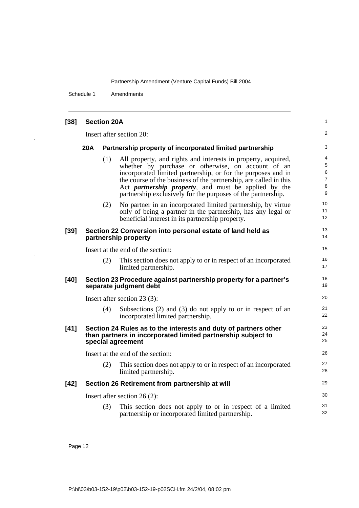Schedule 1 Amendments

| $[38]$ |     | <b>Section 20A</b> |                                                                                                                                                                                                                                                                                                                                                                                          | 1                                       |
|--------|-----|--------------------|------------------------------------------------------------------------------------------------------------------------------------------------------------------------------------------------------------------------------------------------------------------------------------------------------------------------------------------------------------------------------------------|-----------------------------------------|
|        |     |                    | Insert after section 20:                                                                                                                                                                                                                                                                                                                                                                 | 2                                       |
|        | 20A |                    | Partnership property of incorporated limited partnership                                                                                                                                                                                                                                                                                                                                 | 3                                       |
|        |     | (1)                | All property, and rights and interests in property, acquired,<br>whether by purchase or otherwise, on account of an<br>incorporated limited partnership, or for the purposes and in<br>the course of the business of the partnership, are called in this<br>Act <i>partnership property</i> , and must be applied by the<br>partnership exclusively for the purposes of the partnership. | 4<br>5<br>6<br>$\overline{7}$<br>8<br>9 |
|        |     | (2)                | No partner in an incorporated limited partnership, by virtue<br>only of being a partner in the partnership, has any legal or<br>beneficial interest in its partnership property.                                                                                                                                                                                                         | 10<br>11<br>12                          |
| $[39]$ |     |                    | Section 22 Conversion into personal estate of land held as<br>partnership property                                                                                                                                                                                                                                                                                                       | 13<br>14                                |
|        |     |                    | Insert at the end of the section:                                                                                                                                                                                                                                                                                                                                                        | 15                                      |
|        |     | (2)                | This section does not apply to or in respect of an incorporated<br>limited partnership.                                                                                                                                                                                                                                                                                                  | 16<br>17                                |
| $[40]$ |     |                    | Section 23 Procedure against partnership property for a partner's<br>separate judgment debt                                                                                                                                                                                                                                                                                              | 18<br>19                                |
|        |     |                    | Insert after section 23 (3):                                                                                                                                                                                                                                                                                                                                                             | 20                                      |
|        |     | (4)                | Subsections $(2)$ and $(3)$ do not apply to or in respect of an<br>incorporated limited partnership.                                                                                                                                                                                                                                                                                     | 21<br>22                                |
| $[41]$ |     |                    | Section 24 Rules as to the interests and duty of partners other<br>than partners in incorporated limited partnership subject to<br>special agreement                                                                                                                                                                                                                                     | 23<br>24<br>25                          |
|        |     |                    | Insert at the end of the section:                                                                                                                                                                                                                                                                                                                                                        | 26                                      |
|        |     | (2)                | This section does not apply to or in respect of an incorporated<br>limited partnership.                                                                                                                                                                                                                                                                                                  | 27<br>28                                |
| $[42]$ |     |                    | Section 26 Retirement from partnership at will                                                                                                                                                                                                                                                                                                                                           | 29                                      |
|        |     |                    | Insert after section 26 $(2)$ :                                                                                                                                                                                                                                                                                                                                                          | 30                                      |
|        |     | (3)                | This section does not apply to or in respect of a limited<br>partnership or incorporated limited partnership.                                                                                                                                                                                                                                                                            | 31<br>32                                |

i.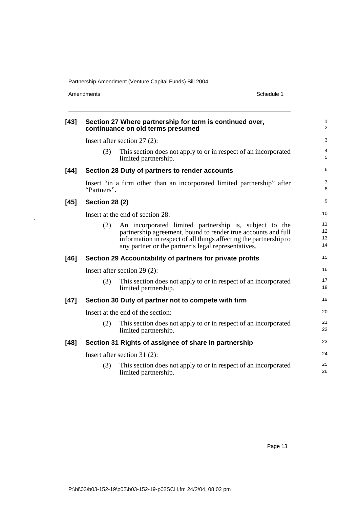Amendments Schedule 1

i.

 $\ddot{\phantom{1}}$ 

| $[43]$ |                       | Section 27 Where partnership for term is continued over,<br>continuance on old terms presumed                                                                                                                                                       | 1<br>$\overline{c}$  |
|--------|-----------------------|-----------------------------------------------------------------------------------------------------------------------------------------------------------------------------------------------------------------------------------------------------|----------------------|
|        |                       | Insert after section $27(2)$ :                                                                                                                                                                                                                      | 3                    |
|        | (3)                   | This section does not apply to or in respect of an incorporated<br>limited partnership.                                                                                                                                                             | 4<br>5               |
| $[44]$ |                       | Section 28 Duty of partners to render accounts                                                                                                                                                                                                      | 6                    |
|        | "Partners".           | Insert "in a firm other than an incorporated limited partnership" after                                                                                                                                                                             | 7<br>8               |
| $[45]$ | <b>Section 28 (2)</b> |                                                                                                                                                                                                                                                     | 9                    |
|        |                       | Insert at the end of section 28:                                                                                                                                                                                                                    | 10                   |
|        | (2)                   | An incorporated limited partnership is, subject to the<br>partnership agreement, bound to render true accounts and full<br>information in respect of all things affecting the partnership to<br>any partner or the partner's legal representatives. | 11<br>12<br>13<br>14 |
| [46]   |                       | Section 29 Accountability of partners for private profits                                                                                                                                                                                           | 15                   |
|        |                       | Insert after section $29(2)$ :                                                                                                                                                                                                                      | 16                   |
|        | (3)                   | This section does not apply to or in respect of an incorporated<br>limited partnership.                                                                                                                                                             | 17<br>18             |
| $[47]$ |                       | Section 30 Duty of partner not to compete with firm                                                                                                                                                                                                 | 19                   |
|        |                       | Insert at the end of the section:                                                                                                                                                                                                                   | 20                   |
|        | (2)                   | This section does not apply to or in respect of an incorporated<br>limited partnership.                                                                                                                                                             | 21<br>22             |
| $[48]$ |                       | Section 31 Rights of assignee of share in partnership                                                                                                                                                                                               | 23                   |
|        |                       | Insert after section $31(2)$ :                                                                                                                                                                                                                      | 24                   |
|        | (3)                   | This section does not apply to or in respect of an incorporated<br>limited partnership.                                                                                                                                                             | 25<br>26             |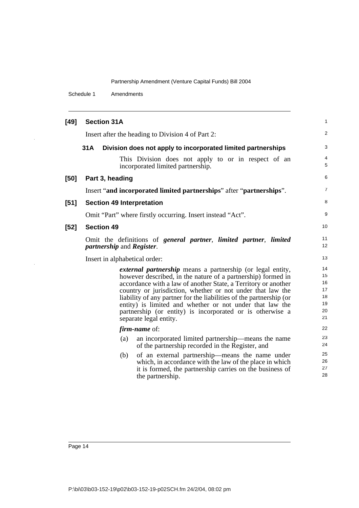Schedule 1 Amendments

| $[49]$ | <b>Section 31A</b>                                                                                                                                                                                                                                                                                                                                                                                                                                                                          | $\mathbf{1}$                                 |
|--------|---------------------------------------------------------------------------------------------------------------------------------------------------------------------------------------------------------------------------------------------------------------------------------------------------------------------------------------------------------------------------------------------------------------------------------------------------------------------------------------------|----------------------------------------------|
|        | Insert after the heading to Division 4 of Part 2:                                                                                                                                                                                                                                                                                                                                                                                                                                           | 2                                            |
|        | 31A<br>Division does not apply to incorporated limited partnerships                                                                                                                                                                                                                                                                                                                                                                                                                         | 3                                            |
|        | This Division does not apply to or in respect of an<br>incorporated limited partnership.                                                                                                                                                                                                                                                                                                                                                                                                    | 4<br>5                                       |
| [50]   | Part 3, heading                                                                                                                                                                                                                                                                                                                                                                                                                                                                             | 6                                            |
|        | Insert "and incorporated limited partnerships" after "partnerships".                                                                                                                                                                                                                                                                                                                                                                                                                        | $\overline{7}$                               |
| $[51]$ | <b>Section 49 Interpretation</b>                                                                                                                                                                                                                                                                                                                                                                                                                                                            | 8                                            |
|        | Omit "Part" where firstly occurring. Insert instead "Act".                                                                                                                                                                                                                                                                                                                                                                                                                                  | 9                                            |
| $[52]$ | <b>Section 49</b>                                                                                                                                                                                                                                                                                                                                                                                                                                                                           | 10                                           |
|        | Omit the definitions of general partner, limited partner, limited<br><i>partnership</i> and <i>Register</i> .                                                                                                                                                                                                                                                                                                                                                                               | 11<br>12                                     |
|        | Insert in alphabetical order:                                                                                                                                                                                                                                                                                                                                                                                                                                                               | 13                                           |
|        | <i>external partnership</i> means a partnership (or legal entity,<br>however described, in the nature of a partnership) formed in<br>accordance with a law of another State, a Territory or another<br>country or jurisdiction, whether or not under that law the<br>liability of any partner for the liabilities of the partnership (or<br>entity) is limited and whether or not under that law the<br>partnership (or entity) is incorporated or is otherwise a<br>separate legal entity. | 14<br>15<br>16<br>17<br>18<br>19<br>20<br>21 |
|        | <i>firm-name</i> of:                                                                                                                                                                                                                                                                                                                                                                                                                                                                        | 22                                           |
|        | an incorporated limited partnership—means the name<br>(a)<br>of the partnership recorded in the Register, and                                                                                                                                                                                                                                                                                                                                                                               | 23<br>24                                     |
|        | of an external partnership—means the name under<br>(b)<br>which, in accordance with the law of the place in which<br>it is formed, the partnership carries on the business of<br>the partnership.                                                                                                                                                                                                                                                                                           | 25<br>26<br>27<br>28                         |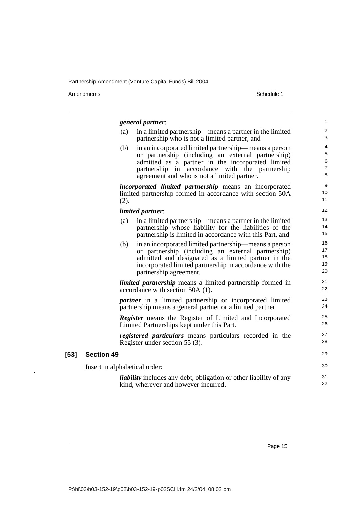Amendments Schedule 1

**[53]** 

 $\bar{z}$ 

|                               |      | general partner:                                                                                                                                                                                                                                                  | $\mathbf{1}$                                |
|-------------------------------|------|-------------------------------------------------------------------------------------------------------------------------------------------------------------------------------------------------------------------------------------------------------------------|---------------------------------------------|
|                               | (a)  | in a limited partnership—means a partner in the limited<br>partnership who is not a limited partner, and                                                                                                                                                          | $\overline{\mathbf{c}}$<br>3                |
|                               | (b)  | in an incorporated limited partnership—means a person<br>or partnership (including an external partnership)<br>admitted as a partner in the incorporated limited<br>partnership in accordance with the partnership<br>agreement and who is not a limited partner. | $\overline{\mathbf{r}}$<br>5<br>6<br>7<br>8 |
|                               | (2). | <i>incorporated limited partnership</i> means an incorporated<br>limited partnership formed in accordance with section 50A                                                                                                                                        | 9<br>10<br>11                               |
|                               |      | limited partner:                                                                                                                                                                                                                                                  | 12                                          |
|                               | (a)  | in a limited partnership—means a partner in the limited<br>partnership whose liability for the liabilities of the<br>partnership is limited in accordance with this Part, and                                                                                     | 13<br>14<br>15                              |
|                               | (b)  | in an incorporated limited partnership—means a person<br>or partnership (including an external partnership)<br>admitted and designated as a limited partner in the<br>incorporated limited partnership in accordance with the<br>partnership agreement.           | 16<br>17<br>18<br>19<br>20                  |
|                               |      | <i>limited partnership</i> means a limited partnership formed in<br>accordance with section 50A (1).                                                                                                                                                              | 21<br>22                                    |
|                               |      | <i>partner</i> in a limited partnership or incorporated limited<br>partnership means a general partner or a limited partner.                                                                                                                                      | 23<br>24                                    |
|                               |      | <b>Register</b> means the Register of Limited and Incorporated<br>Limited Partnerships kept under this Part.                                                                                                                                                      | 25<br>26                                    |
|                               |      | registered particulars means particulars recorded in the<br>Register under section 55 (3).                                                                                                                                                                        | 27<br>28                                    |
| <b>Section 49</b>             |      |                                                                                                                                                                                                                                                                   | 29                                          |
| Insert in alphabetical order: |      |                                                                                                                                                                                                                                                                   | 30                                          |
|                               |      | <i>liability</i> includes any debt, obligation or other liability of any<br>kind, wherever and however incurred.                                                                                                                                                  | 31<br>32                                    |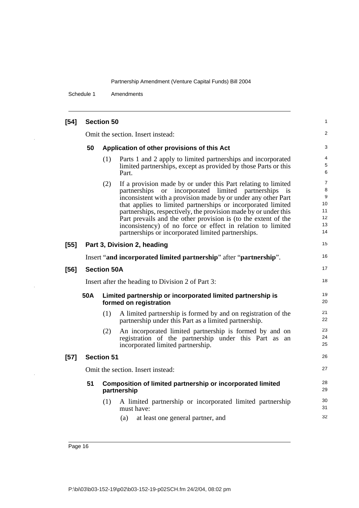Schedule 1 Amendments

| $[54]$ | <b>Section 50</b>                                                                                  |                                   |                                                                                                                                                                                                                                                                                                                                                                                                                                                                                                                  |                                           |  |
|--------|----------------------------------------------------------------------------------------------------|-----------------------------------|------------------------------------------------------------------------------------------------------------------------------------------------------------------------------------------------------------------------------------------------------------------------------------------------------------------------------------------------------------------------------------------------------------------------------------------------------------------------------------------------------------------|-------------------------------------------|--|
|        |                                                                                                    | Omit the section. Insert instead: |                                                                                                                                                                                                                                                                                                                                                                                                                                                                                                                  |                                           |  |
|        | 50                                                                                                 |                                   | Application of other provisions of this Act                                                                                                                                                                                                                                                                                                                                                                                                                                                                      | 3                                         |  |
|        |                                                                                                    | (1)                               | Parts 1 and 2 apply to limited partnerships and incorporated<br>limited partnerships, except as provided by those Parts or this<br>Part.                                                                                                                                                                                                                                                                                                                                                                         | 4<br>5<br>6                               |  |
|        |                                                                                                    | (2)                               | If a provision made by or under this Part relating to limited<br>partnerships or incorporated limited partnerships is<br>inconsistent with a provision made by or under any other Part<br>that applies to limited partnerships or incorporated limited<br>partnerships, respectively, the provision made by or under this<br>Part prevails and the other provision is (to the extent of the<br>inconsistency) of no force or effect in relation to limited<br>partnerships or incorporated limited partnerships. | 7<br>8<br>9<br>10<br>11<br>12<br>13<br>14 |  |
| $[55]$ |                                                                                                    |                                   | Part 3, Division 2, heading                                                                                                                                                                                                                                                                                                                                                                                                                                                                                      | 15                                        |  |
|        | Insert "and incorporated limited partnership" after "partnership".                                 |                                   |                                                                                                                                                                                                                                                                                                                                                                                                                                                                                                                  |                                           |  |
| $[56]$ |                                                                                                    | <b>Section 50A</b>                |                                                                                                                                                                                                                                                                                                                                                                                                                                                                                                                  | 17                                        |  |
|        |                                                                                                    |                                   | Insert after the heading to Division 2 of Part 3:                                                                                                                                                                                                                                                                                                                                                                                                                                                                | 18                                        |  |
|        | <b>50A</b><br>Limited partnership or incorporated limited partnership is<br>formed on registration |                                   |                                                                                                                                                                                                                                                                                                                                                                                                                                                                                                                  |                                           |  |
|        |                                                                                                    | (1)                               | A limited partnership is formed by and on registration of the<br>partnership under this Part as a limited partnership.                                                                                                                                                                                                                                                                                                                                                                                           | 21<br>22                                  |  |
|        |                                                                                                    | (2)                               | An incorporated limited partnership is formed by and on<br>registration of the partnership under this Part as an<br>incorporated limited partnership.                                                                                                                                                                                                                                                                                                                                                            | 23<br>24<br>25                            |  |
| $[57]$ |                                                                                                    | <b>Section 51</b>                 |                                                                                                                                                                                                                                                                                                                                                                                                                                                                                                                  | 26                                        |  |
|        |                                                                                                    |                                   | Omit the section. Insert instead:                                                                                                                                                                                                                                                                                                                                                                                                                                                                                | 27                                        |  |
|        |                                                                                                    |                                   | 51 Composition of limited partnership or incorporated limited<br>partnership                                                                                                                                                                                                                                                                                                                                                                                                                                     | 28<br>29                                  |  |
|        |                                                                                                    | (1)                               | A limited partnership or incorporated limited partnership<br>must have:                                                                                                                                                                                                                                                                                                                                                                                                                                          | 30<br>31                                  |  |
|        |                                                                                                    |                                   | (a)<br>at least one general partner, and                                                                                                                                                                                                                                                                                                                                                                                                                                                                         | 32                                        |  |

Page 16

 $\overline{a}$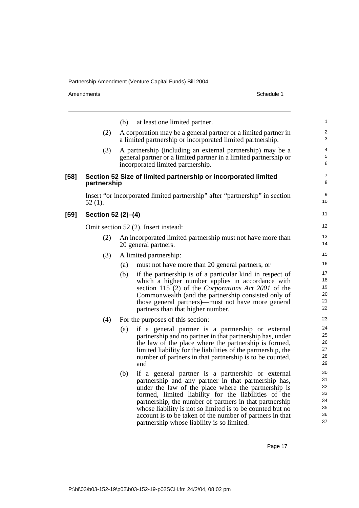Amendments Schedule 1

 $\ddot{\phantom{1}}$ 

|        |                    | (b)<br>at least one limited partner.                                                                                                                                                                                                                                                                                                                                                                                                                              | 1                                            |
|--------|--------------------|-------------------------------------------------------------------------------------------------------------------------------------------------------------------------------------------------------------------------------------------------------------------------------------------------------------------------------------------------------------------------------------------------------------------------------------------------------------------|----------------------------------------------|
|        | (2)                | A corporation may be a general partner or a limited partner in<br>a limited partnership or incorporated limited partnership.                                                                                                                                                                                                                                                                                                                                      | $\overline{\mathbf{c}}$<br>3                 |
|        | (3)                | A partnership (including an external partnership) may be a<br>general partner or a limited partner in a limited partnership or<br>incorporated limited partnership.                                                                                                                                                                                                                                                                                               | 4<br>5<br>6                                  |
| $[58]$ | partnership        | Section 52 Size of limited partnership or incorporated limited                                                                                                                                                                                                                                                                                                                                                                                                    | $\overline{7}$<br>8                          |
|        | $52(1)$ .          | Insert "or incorporated limited partnership" after "partnership" in section                                                                                                                                                                                                                                                                                                                                                                                       | 9<br>10                                      |
| $[59]$ | Section 52 (2)-(4) |                                                                                                                                                                                                                                                                                                                                                                                                                                                                   | 11                                           |
|        |                    | Omit section 52 (2). Insert instead:                                                                                                                                                                                                                                                                                                                                                                                                                              | 12                                           |
|        | (2)                | An incorporated limited partnership must not have more than<br>20 general partners.                                                                                                                                                                                                                                                                                                                                                                               | 13<br>14                                     |
|        | (3)                | A limited partnership:                                                                                                                                                                                                                                                                                                                                                                                                                                            | 15                                           |
|        |                    | (a)<br>must not have more than 20 general partners, or                                                                                                                                                                                                                                                                                                                                                                                                            | 16                                           |
|        |                    | (b)<br>if the partnership is of a particular kind in respect of<br>which a higher number applies in accordance with<br>section 115 (2) of the Corporations Act 2001 of the<br>Commonwealth (and the partnership consisted only of<br>those general partners)—must not have more general<br>partners than that higher number.                                                                                                                                      | 17<br>18<br>19<br>20<br>21<br>22             |
|        | (4)                | For the purposes of this section:                                                                                                                                                                                                                                                                                                                                                                                                                                 | 23                                           |
|        |                    | if a general partner is a partnership or external<br>(a)<br>partnership and no partner in that partnership has, under<br>the law of the place where the partnership is formed,<br>limited liability for the liabilities of the partnership, the<br>number of partners in that partnership is to be counted,<br>and                                                                                                                                                | 24<br>25<br>26<br>27<br>28<br>29             |
|        |                    | (b)<br>if a general partner is a partnership or external<br>partnership and any partner in that partnership has,<br>under the law of the place where the partnership is<br>formed, limited liability for the liabilities of the<br>partnership, the number of partners in that partnership<br>whose liability is not so limited is to be counted but no<br>account is to be taken of the number of partners in that<br>partnership whose liability is so limited. | 30<br>31<br>32<br>33<br>34<br>35<br>36<br>37 |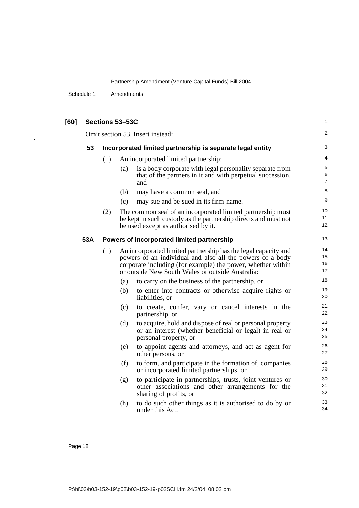Schedule 1 Amendments

| [60] |     |     | Sections 53-53C |                                                                                                                                                                                                                                                | 1                    |
|------|-----|-----|-----------------|------------------------------------------------------------------------------------------------------------------------------------------------------------------------------------------------------------------------------------------------|----------------------|
|      |     |     |                 | Omit section 53. Insert instead:                                                                                                                                                                                                               | 2                    |
|      | 53  |     |                 | Incorporated limited partnership is separate legal entity                                                                                                                                                                                      | 3                    |
|      |     | (1) |                 | An incorporated limited partnership:                                                                                                                                                                                                           | 4                    |
|      |     |     | (a)             | is a body corporate with legal personality separate from<br>that of the partners in it and with perpetual succession,<br>and                                                                                                                   | 5<br>6<br>7          |
|      |     |     | (b)             | may have a common seal, and                                                                                                                                                                                                                    | 8                    |
|      |     |     | (c)             | may sue and be sued in its firm-name.                                                                                                                                                                                                          | 9                    |
|      |     | (2) |                 | The common seal of an incorporated limited partnership must<br>be kept in such custody as the partnership directs and must not<br>be used except as authorised by it.                                                                          | 10<br>11<br>12       |
|      | 53A |     |                 | Powers of incorporated limited partnership                                                                                                                                                                                                     | 13                   |
|      |     | (1) |                 | An incorporated limited partnership has the legal capacity and<br>powers of an individual and also all the powers of a body<br>corporate including (for example) the power, whether within<br>or outside New South Wales or outside Australia: | 14<br>15<br>16<br>17 |
|      |     |     | (a)             | to carry on the business of the partnership, or                                                                                                                                                                                                | 18                   |
|      |     |     | (b)             | to enter into contracts or otherwise acquire rights or<br>liabilities, or                                                                                                                                                                      | 19<br>20             |
|      |     |     | (c)             | to create, confer, vary or cancel interests in the<br>partnership, or                                                                                                                                                                          | 21<br>22             |
|      |     |     | (d)             | to acquire, hold and dispose of real or personal property<br>or an interest (whether beneficial or legal) in real or<br>personal property, or                                                                                                  | 23<br>24<br>25       |
|      |     |     | (e)             | to appoint agents and attorneys, and act as agent for<br>other persons, or                                                                                                                                                                     | 26<br>27             |
|      |     |     | (f)             | to form, and participate in the formation of, companies<br>or incorporated limited partnerships, or                                                                                                                                            | 28<br>29             |
|      |     |     | (g)             | to participate in partnerships, trusts, joint ventures or<br>other associations and other arrangements for the<br>sharing of profits, or                                                                                                       | 30<br>31<br>32       |
|      |     |     | (h)             | to do such other things as it is authorised to do by or<br>under this Act.                                                                                                                                                                     | 33<br>34             |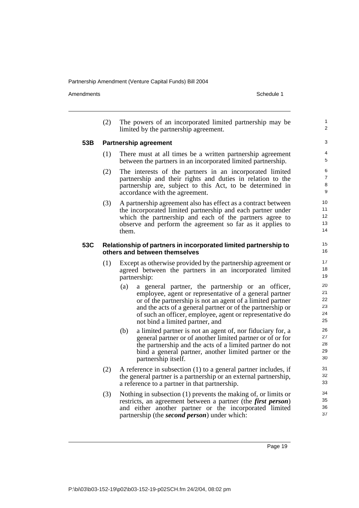Amendments **Amendments** Schedule 1

1  $\overline{2}$ 

(2) The powers of an incorporated limited partnership may be limited by the partnership agreement.

#### **53B Partnership agreement**

- (1) There must at all times be a written partnership agreement between the partners in an incorporated limited partnership.
- (2) The interests of the partners in an incorporated limited partnership and their rights and duties in relation to the partnership are, subject to this Act, to be determined in accordance with the agreement.
- (3) A partnership agreement also has effect as a contract between the incorporated limited partnership and each partner under which the partnership and each of the partners agree to observe and perform the agreement so far as it applies to them.

#### **53C Relationship of partners in incorporated limited partnership to others and between themselves**

- (1) Except as otherwise provided by the partnership agreement or agreed between the partners in an incorporated limited partnership:
	- (a) a general partner, the partnership or an officer, employee, agent or representative of a general partner or of the partnership is not an agent of a limited partner and the acts of a general partner or of the partnership or of such an officer, employee, agent or representative do not bind a limited partner, and
	- (b) a limited partner is not an agent of, nor fiduciary for, a general partner or of another limited partner or of or for the partnership and the acts of a limited partner do not bind a general partner, another limited partner or the partnership itself.
- (2) A reference in subsection (1) to a general partner includes, if the general partner is a partnership or an external partnership, a reference to a partner in that partnership.
- (3) Nothing in subsection (1) prevents the making of, or limits or restricts, an agreement between a partner (the *first person*) and either another partner or the incorporated limited partnership (the *second person*) under which: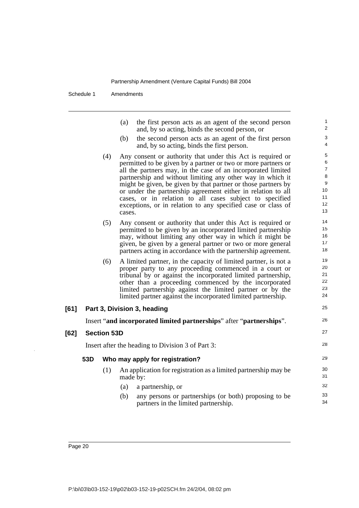Schedule 1 Amendments

|     |                    | (a)<br>the first person acts as an agent of the second person<br>and, by so acting, binds the second person, or             | 1<br>2              |
|-----|--------------------|-----------------------------------------------------------------------------------------------------------------------------|---------------------|
|     |                    | the second person acts as an agent of the first person<br>(b)<br>and, by so acting, binds the first person.                 | 3<br>$\overline{4}$ |
|     | (4)                | Any consent or authority that under this Act is required or                                                                 | $\,$ 5 $\,$         |
|     |                    | permitted to be given by a partner or two or more partners or                                                               | 6                   |
|     |                    | all the partners may, in the case of an incorporated limited                                                                | $\overline{7}$<br>8 |
|     |                    | partnership and without limiting any other way in which it<br>might be given, be given by that partner or those partners by | 9                   |
|     |                    | or under the partnership agreement either in relation to all                                                                | 10                  |
|     |                    | cases, or in relation to all cases subject to specified                                                                     | 11                  |
|     |                    | exceptions, or in relation to any specified case or class of<br>cases.                                                      | 12<br>13            |
|     | (5)                | Any consent or authority that under this Act is required or                                                                 | 14                  |
|     |                    | permitted to be given by an incorporated limited partnership                                                                | 15                  |
|     |                    | may, without limiting any other way in which it might be                                                                    | 16                  |
|     |                    | given, be given by a general partner or two or more general                                                                 | 17<br>18            |
|     |                    | partners acting in accordance with the partnership agreement.                                                               |                     |
|     | (6)                | A limited partner, in the capacity of limited partner, is not a                                                             | 19<br>20            |
|     |                    | proper party to any proceeding commenced in a court or<br>tribunal by or against the incorporated limited partnership,      | 21                  |
|     |                    | other than a proceeding commenced by the incorporated                                                                       | 22                  |
|     |                    | limited partnership against the limited partner or by the                                                                   | 23                  |
|     |                    | limited partner against the incorporated limited partnership.                                                               | 24                  |
|     |                    | Part 3, Division 3, heading                                                                                                 | 25                  |
|     |                    | Insert "and incorporated limited partnerships" after "partnerships".                                                        | 26                  |
|     | <b>Section 53D</b> |                                                                                                                             | 27                  |
|     |                    | Insert after the heading to Division 3 of Part 3:                                                                           | 28                  |
| 53D |                    | Who may apply for registration?                                                                                             | 29                  |
|     | (1)                | An application for registration as a limited partnership may be<br>made by:                                                 | 30<br>31            |
|     |                    | (a)<br>a partnership, or                                                                                                    | 32                  |
|     |                    | (b)<br>any persons or partnerships (or both) proposing to be<br>partners in the limited partnership.                        | 33<br>34            |

 $[61]$ 

**[62]** 

 $\overline{\phantom{a}}$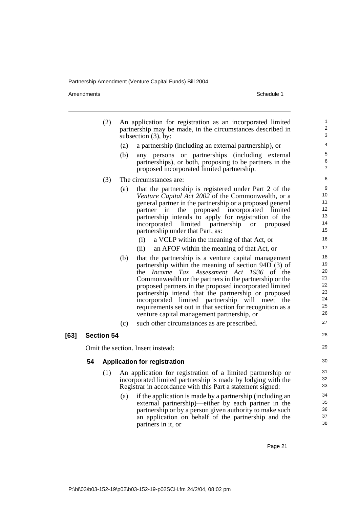Amendments Schedule 1

|      |    | (2)               |     | An application for registration as an incorporated limited<br>partnership may be made, in the circumstances described in<br>subsection $(3)$ , by: | $\mathbf{1}$<br>2<br>3 |
|------|----|-------------------|-----|----------------------------------------------------------------------------------------------------------------------------------------------------|------------------------|
|      |    |                   | (a) | a partnership (including an external partnership), or                                                                                              | 4                      |
|      |    |                   | (b) | any persons or partnerships (including external                                                                                                    | 5                      |
|      |    |                   |     | partnerships), or both, proposing to be partners in the                                                                                            | 6                      |
|      |    |                   |     | proposed incorporated limited partnership.                                                                                                         | $\overline{7}$         |
|      |    | (3)               |     | The circumstances are:                                                                                                                             | 8                      |
|      |    |                   | (a) | that the partnership is registered under Part 2 of the                                                                                             | 9                      |
|      |    |                   |     | <i>Venture Capital Act 2002</i> of the Commonwealth, or a                                                                                          | 10                     |
|      |    |                   |     | general partner in the partnership or a proposed general                                                                                           | 11                     |
|      |    |                   |     | proposed incorporated<br>partner in<br>limited<br>the                                                                                              | 12                     |
|      |    |                   |     | partnership intends to apply for registration of the                                                                                               | 13<br>14               |
|      |    |                   |     | limited partnership<br>incorporated<br>proposed<br><b>or</b><br>partnership under that Part, as:                                                   | 15                     |
|      |    |                   |     | (i)<br>a VCLP within the meaning of that Act, or                                                                                                   | 16                     |
|      |    |                   |     | (ii)<br>an AFOF within the meaning of that Act, or                                                                                                 | 17                     |
|      |    |                   | (b) | that the partnership is a venture capital management                                                                                               | 18                     |
|      |    |                   |     | partnership within the meaning of section 94D (3) of                                                                                               | 19<br>20               |
|      |    |                   |     | the <i>Income Tax Assessment Act 1936</i> of the                                                                                                   | 21                     |
|      |    |                   |     | Commonwealth or the partners in the partnership or the                                                                                             | 22                     |
|      |    |                   |     | proposed partners in the proposed incorporated limited<br>partnership intend that the partnership or proposed                                      | 23                     |
|      |    |                   |     | incorporated limited partnership will meet the                                                                                                     | 24                     |
|      |    |                   |     | requirements set out in that section for recognition as a                                                                                          | 25                     |
|      |    |                   |     | venture capital management partnership, or                                                                                                         | 26                     |
|      |    |                   | (c) | such other circumstances as are prescribed.                                                                                                        | 27                     |
| [63] |    | <b>Section 54</b> |     |                                                                                                                                                    | 28                     |
|      |    |                   |     | Omit the section. Insert instead:                                                                                                                  | 29                     |
|      | 54 |                   |     | <b>Application for registration</b>                                                                                                                | 30                     |
|      |    | (1)               |     | An application for registration of a limited partnership or                                                                                        | 31                     |
|      |    |                   |     | incorporated limited partnership is made by lodging with the                                                                                       | 32                     |
|      |    |                   |     | Registrar in accordance with this Part a statement signed:                                                                                         | 33                     |
|      |    |                   | (a) | if the application is made by a partnership (including an                                                                                          | 34                     |
|      |    |                   |     | external partnership)—either by each partner in the                                                                                                | 35                     |
|      |    |                   |     | partnership or by a person given authority to make such                                                                                            | 36<br>37               |
|      |    |                   |     | an application on behalf of the partnership and the                                                                                                | 38                     |
|      |    |                   |     | partners in it, or                                                                                                                                 |                        |
|      |    |                   |     |                                                                                                                                                    |                        |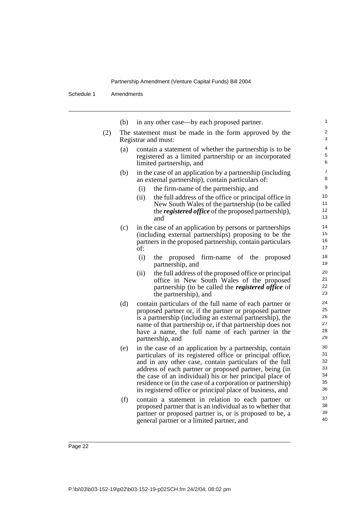Schedule 1 Amendments

|     | (b) | in any other case—by each proposed partner.                                                                                                                                                                                                                                                                                                                                                                                     | $\mathbf{1}$                           |
|-----|-----|---------------------------------------------------------------------------------------------------------------------------------------------------------------------------------------------------------------------------------------------------------------------------------------------------------------------------------------------------------------------------------------------------------------------------------|----------------------------------------|
| (2) |     | The statement must be made in the form approved by the<br>Registrar and must:                                                                                                                                                                                                                                                                                                                                                   | $\overline{\mathbf{c}}$<br>3           |
|     | (a) | contain a statement of whether the partnership is to be<br>registered as a limited partnership or an incorporated<br>limited partnership, and                                                                                                                                                                                                                                                                                   | $\overline{\mathcal{L}}$<br>5<br>6     |
|     | (b) | in the case of an application by a partnership (including<br>an external partnership), contain particulars of:                                                                                                                                                                                                                                                                                                                  | $\overline{7}$<br>8                    |
|     |     | (i)<br>the firm-name of the partnership, and                                                                                                                                                                                                                                                                                                                                                                                    | 9                                      |
|     |     | the full address of the office or principal office in<br>(ii)<br>New South Wales of the partnership (to be called<br>the <b><i>registered office</i></b> of the proposed partnership),<br>and                                                                                                                                                                                                                                   | 10<br>11<br>12<br>13                   |
|     | (c) | in the case of an application by persons or partnerships<br>(including external partnerships) proposing to be the<br>partners in the proposed partnership, contain particulars<br>of:                                                                                                                                                                                                                                           | 14<br>15<br>16<br>17                   |
|     |     | (i)<br>proposed firm-name of the proposed<br>the<br>partnership, and                                                                                                                                                                                                                                                                                                                                                            | 18<br>19                               |
|     |     | the full address of the proposed office or principal<br>(ii)<br>office in New South Wales of the proposed<br>partnership (to be called the <i>registered office</i> of<br>the partnership), and                                                                                                                                                                                                                                 | 20<br>21<br>22<br>23                   |
|     | (d) | contain particulars of the full name of each partner or<br>proposed partner or, if the partner or proposed partner<br>is a partnership (including an external partnership), the<br>name of that partnership or, if that partnership does not<br>have a name, the full name of each partner in the<br>partnership, and                                                                                                           | 24<br>25<br>26<br>27<br>28<br>29       |
|     | (e) | in the case of an application by a partnership, contain<br>particulars of its registered office or principal office,<br>and in any other case, contain particulars of the full<br>address of each partner or proposed partner, being (in<br>the case of an individual) his or her principal place of<br>residence or (in the case of a corporation or partnership)<br>its registered office or principal place of business, and | 30<br>31<br>32<br>33<br>34<br>35<br>36 |
|     | (f) | contain a statement in relation to each partner or<br>proposed partner that is an individual as to whether that<br>partner or proposed partner is, or is proposed to be, a<br>general partner or a limited partner, and                                                                                                                                                                                                         | 37<br>38<br>39<br>40                   |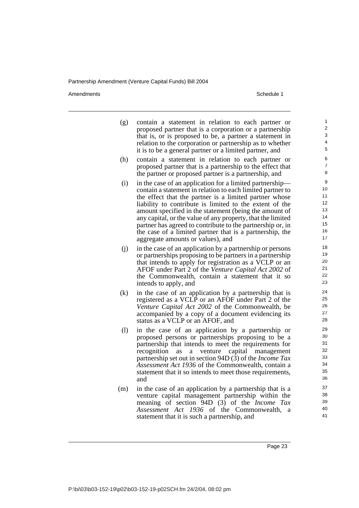Amendments **Amendments** Schedule 1

- (g) contain a statement in relation to each partner or proposed partner that is a corporation or a partnership that is, or is proposed to be, a partner a statement in relation to the corporation or partnership as to whether it is to be a general partner or a limited partner, and
- (h) contain a statement in relation to each partner or proposed partner that is a partnership to the effect that the partner or proposed partner is a partnership, and
- (i) in the case of an application for a limited partnership contain a statement in relation to each limited partner to the effect that the partner is a limited partner whose liability to contribute is limited to the extent of the amount specified in the statement (being the amount of any capital, or the value of any property, that the limited partner has agreed to contribute to the partnership or, in the case of a limited partner that is a partnership, the aggregate amounts or values), and
- (j) in the case of an application by a partnership or persons or partnerships proposing to be partners in a partnership that intends to apply for registration as a VCLP or an AFOF under Part 2 of the *Venture Capital Act 2002* of the Commonwealth, contain a statement that it so intends to apply, and
- (k) in the case of an application by a partnership that is registered as a VCLP or an AFOF under Part 2 of the *Venture Capital Act 2002* of the Commonwealth, be accompanied by a copy of a document evidencing its status as a VCLP or an AFOF, and
- (l) in the case of an application by a partnership or proposed persons or partnerships proposing to be a partnership that intends to meet the requirements for recognition as a venture capital management partnership set out in section 94D (3) of the *Income Tax Assessment Act 1936* of the Commonwealth, contain a statement that it so intends to meet those requirements, and
- (m) in the case of an application by a partnership that is a venture capital management partnership within the meaning of section 94D (3) of the *Income Tax Assessment Act 1936* of the Commonwealth, a statement that it is such a partnership, and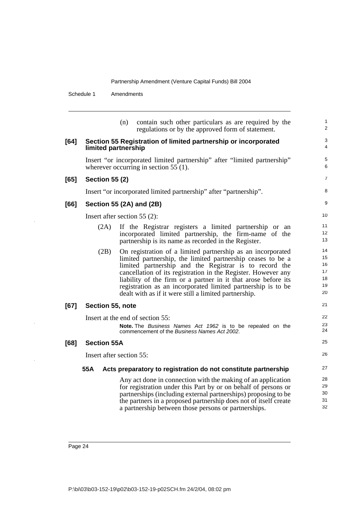Schedule 1 Amendments

(n) contain such other particulars as are required by the regulations or by the approved form of statement. **[64] Section 55 Registration of limited partnership or incorporated limited partnership** Insert "or incorporated limited partnership" after "limited partnership" wherever occurring in section 55 (1). **[65] Section 55 (2)** Insert "or incorporated limited partnership" after "partnership". **[66] Section 55 (2A) and (2B)** Insert after section 55 (2): (2A) If the Registrar registers a limited partnership or an incorporated limited partnership, the firm-name of the partnership is its name as recorded in the Register. (2B) On registration of a limited partnership as an incorporated limited partnership, the limited partnership ceases to be a limited partnership and the Registrar is to record the cancellation of its registration in the Register. However any liability of the firm or a partner in it that arose before its registration as an incorporated limited partnership is to be dealt with as if it were still a limited partnership. **[67] Section 55, note** Insert at the end of section 55: **Note.** The Business Names Act 1962 is to be repealed on the commencement of the Business Names Act 2002. **[68] Section 55A** Insert after section 55: **55A Acts preparatory to registration do not constitute partnership**  Any act done in connection with the making of an application for registration under this Part by or on behalf of persons or partnerships (including external partnerships) proposing to be the partners in a proposed partnership does not of itself create a partnership between those persons or partnerships. 1  $\overline{2}$ 3 4 5 6 7 8 9 10 11 12 13 14 15 16 17 18 19 20 21 22 23 24 25 26 27 28 29 30 31 32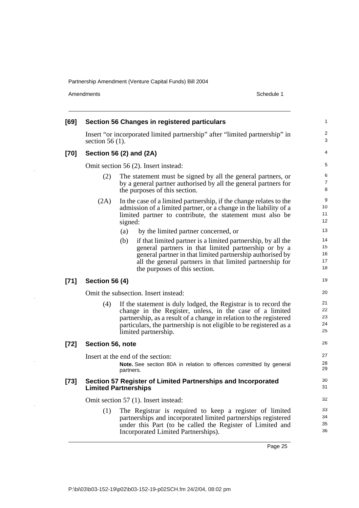Amendments Schedule 1

J.

 $\ddot{\phantom{a}}$ 

 $\ddot{\phantom{a}}$ 

 $\bar{z}$ 

| [69]   |                       | <b>Section 56 Changes in registered particulars</b>                                                                                                                                                                                                                                             | 1                               |
|--------|-----------------------|-------------------------------------------------------------------------------------------------------------------------------------------------------------------------------------------------------------------------------------------------------------------------------------------------|---------------------------------|
|        | section $56(1)$ .     | Insert "or incorporated limited partnership" after "limited partnership" in                                                                                                                                                                                                                     | $\boldsymbol{2}$<br>3           |
| [70]   |                       | Section 56 (2) and (2A)                                                                                                                                                                                                                                                                         | 4                               |
|        |                       | Omit section 56 (2). Insert instead:                                                                                                                                                                                                                                                            | 5                               |
|        | (2)                   | The statement must be signed by all the general partners, or<br>by a general partner authorised by all the general partners for<br>the purposes of this section.                                                                                                                                | 6<br>$\overline{7}$<br>8        |
|        | (2A)                  | In the case of a limited partnership, if the change relates to the<br>admission of a limited partner, or a change in the liability of a<br>limited partner to contribute, the statement must also be<br>signed:<br>(a)<br>by the limited partner concerned, or                                  | 9<br>10<br>11<br>12<br>13<br>14 |
|        |                       | if that limited partner is a limited partnership, by all the<br>(b)<br>general partners in that limited partnership or by a<br>general partner in that limited partnership authorised by<br>all the general partners in that limited partnership for<br>the purposes of this section.           | 15<br>16<br>17<br>18            |
| $[71]$ | <b>Section 56 (4)</b> |                                                                                                                                                                                                                                                                                                 | 19                              |
|        |                       | Omit the subsection. Insert instead:                                                                                                                                                                                                                                                            | 20                              |
|        | (4)                   | If the statement is duly lodged, the Registrar is to record the<br>change in the Register, unless, in the case of a limited<br>partnership, as a result of a change in relation to the registered<br>particulars, the partnership is not eligible to be registered as a<br>limited partnership. | 21<br>22<br>23<br>24<br>25      |
| $[72]$ | Section 56, note      |                                                                                                                                                                                                                                                                                                 | 26                              |
|        |                       | Insert at the end of the section:<br>Note. See section 80A in relation to offences committed by general<br>partners.                                                                                                                                                                            | 27<br>28<br>29                  |
| $[73]$ |                       | Section 57 Register of Limited Partnerships and Incorporated<br><b>Limited Partnerships</b>                                                                                                                                                                                                     | 30<br>31                        |
|        |                       | Omit section 57 (1). Insert instead:                                                                                                                                                                                                                                                            | 32                              |
|        | (1)                   | The Registrar is required to keep a register of limited<br>partnerships and incorporated limited partnerships registered<br>under this Part (to be called the Register of Limited and<br>Incorporated Limited Partnerships).                                                                    | 33<br>34<br>35<br>36            |
|        |                       |                                                                                                                                                                                                                                                                                                 |                                 |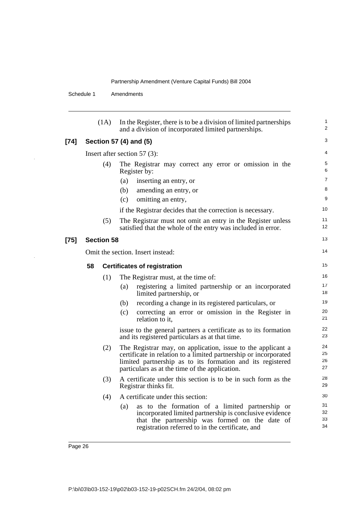Schedule 1 Amendments

l,

l.

|        |    | (1A)              | In the Register, there is to be a division of limited partnerships<br>and a division of incorporated limited partnerships.                                                                                                                      | $\mathbf{1}$<br>2    |
|--------|----|-------------------|-------------------------------------------------------------------------------------------------------------------------------------------------------------------------------------------------------------------------------------------------|----------------------|
| $[74]$ |    |                   | Section 57 (4) and (5)                                                                                                                                                                                                                          | 3                    |
|        |    |                   | Insert after section 57 $(3)$ :                                                                                                                                                                                                                 | 4                    |
|        |    | (4)               | The Registrar may correct any error or omission in the<br>Register by:                                                                                                                                                                          | 5<br>6               |
|        |    |                   | inserting an entry, or<br>(a)                                                                                                                                                                                                                   | 7                    |
|        |    |                   | (b)<br>amending an entry, or                                                                                                                                                                                                                    | 8                    |
|        |    |                   | omitting an entry,<br>(c)                                                                                                                                                                                                                       | 9                    |
|        |    |                   | if the Registrar decides that the correction is necessary.                                                                                                                                                                                      | 10                   |
|        |    | (5)               | The Registrar must not omit an entry in the Register unless<br>satisfied that the whole of the entry was included in error.                                                                                                                     | 11<br>12             |
| $[75]$ |    | <b>Section 58</b> |                                                                                                                                                                                                                                                 | 13                   |
|        |    |                   | Omit the section. Insert instead:                                                                                                                                                                                                               | 14                   |
|        | 58 |                   | <b>Certificates of registration</b>                                                                                                                                                                                                             | 15                   |
|        |    | (1)               | The Registrar must, at the time of:                                                                                                                                                                                                             | 16                   |
|        |    |                   | registering a limited partnership or an incorporated<br>(a)<br>limited partnership, or                                                                                                                                                          | 17<br>18             |
|        |    |                   | recording a change in its registered particulars, or<br>(b)                                                                                                                                                                                     | 19                   |
|        |    |                   | (c)<br>correcting an error or omission in the Register in<br>relation to it,                                                                                                                                                                    | 20<br>21             |
|        |    |                   | issue to the general partners a certificate as to its formation<br>and its registered particulars as at that time.                                                                                                                              | 22<br>23             |
|        |    | (2)               | The Registrar may, on application, issue to the applicant a<br>certificate in relation to a limited partnership or incorporated<br>limited partnership as to its formation and its registered<br>particulars as at the time of the application. | 24<br>25<br>26<br>27 |
|        |    | (3)               | A certificate under this section is to be in such form as the<br>Registrar thinks fit.                                                                                                                                                          | 28<br>29             |
|        |    | (4)               | A certificate under this section:                                                                                                                                                                                                               | 30                   |
|        |    |                   | as to the formation of a limited partnership or<br>(a)<br>incorporated limited partnership is conclusive evidence<br>that the partnership was formed on the date of<br>registration referred to in the certificate, and                         | 31<br>32<br>33<br>34 |
|        |    |                   |                                                                                                                                                                                                                                                 |                      |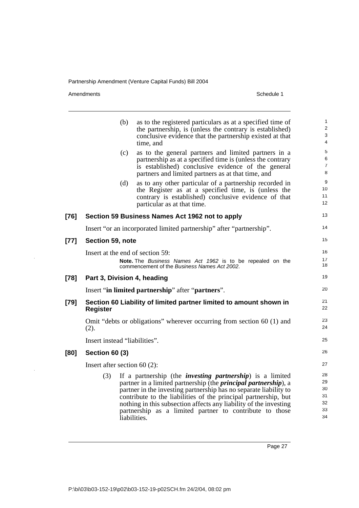Amendments Schedule 1

[77]

[78]

**[80] Section 60 (3)**

|                      | (b)                             | as to the registered particulars as at a specified time of<br>the partnership, is (unless the contrary is established)<br>conclusive evidence that the partnership existed at that<br>time, and                                                                                                                                                                                                                      | 1<br>$\overline{2}$<br>$\mathsf 3$<br>4 |
|----------------------|---------------------------------|----------------------------------------------------------------------------------------------------------------------------------------------------------------------------------------------------------------------------------------------------------------------------------------------------------------------------------------------------------------------------------------------------------------------|-----------------------------------------|
|                      | (c)                             | as to the general partners and limited partners in a<br>partnership as at a specified time is (unless the contrary<br>is established) conclusive evidence of the general<br>partners and limited partners as at that time, and                                                                                                                                                                                       | $\sqrt{5}$<br>6<br>$\overline{7}$<br>8  |
|                      | (d)                             | as to any other particular of a partnership recorded in<br>the Register as at a specified time, is (unless the<br>contrary is established) conclusive evidence of that<br>particular as at that time.                                                                                                                                                                                                                | 9<br>10<br>11<br>12                     |
| [76]                 |                                 | Section 59 Business Names Act 1962 not to apply                                                                                                                                                                                                                                                                                                                                                                      | 13                                      |
|                      |                                 | Insert "or an incorporated limited partnership" after "partnership".                                                                                                                                                                                                                                                                                                                                                 | 14                                      |
| $[77] \label{eq:77}$ | Section 59, note                |                                                                                                                                                                                                                                                                                                                                                                                                                      | 15                                      |
|                      |                                 | Insert at the end of section 59:<br>Note. The Business Names Act 1962 is to be repealed on the<br>commencement of the Business Names Act 2002.                                                                                                                                                                                                                                                                       | 16<br>17<br>18                          |
| [78]                 | Part 3, Division 4, heading     |                                                                                                                                                                                                                                                                                                                                                                                                                      | 19                                      |
|                      |                                 | Insert "in limited partnership" after "partners".                                                                                                                                                                                                                                                                                                                                                                    | 20                                      |
| [79]                 | <b>Register</b>                 | Section 60 Liability of limited partner limited to amount shown in                                                                                                                                                                                                                                                                                                                                                   | 21<br>22                                |
|                      | (2).                            | Omit "debts or obligations" wherever occurring from section 60 (1) and                                                                                                                                                                                                                                                                                                                                               | 23<br>24                                |
|                      | Insert instead "liabilities".   |                                                                                                                                                                                                                                                                                                                                                                                                                      | 25                                      |
| [80]                 | <b>Section 60 (3)</b>           |                                                                                                                                                                                                                                                                                                                                                                                                                      | 26                                      |
|                      | Insert after section 60 $(2)$ : |                                                                                                                                                                                                                                                                                                                                                                                                                      | 27                                      |
|                      | (3)                             | If a partnership (the <i>investing partnership</i> ) is a limited<br>partner in a limited partnership (the <i>principal partnership</i> ), a<br>partner in the investing partnership has no separate liability to<br>contribute to the liabilities of the principal partnership, but<br>nothing in this subsection affects any liability of the investing<br>partnership as a limited partner to contribute to those | 28<br>29<br>30<br>31<br>32<br>33        |

Page 27

34

liabilities.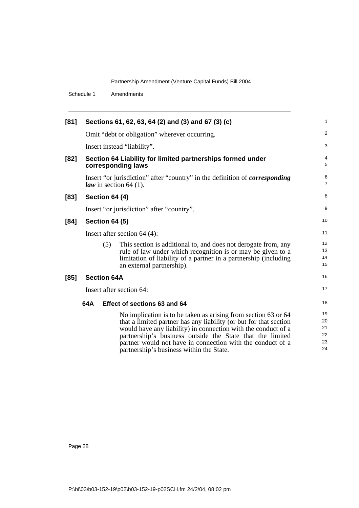Schedule 1 Amendments

| [81]   |                       | Sections 61, 62, 63, 64 (2) and (3) and 67 (3) (c)                                                                                                                                                                                                                                                                                                                          | $\mathbf{1}$                     |
|--------|-----------------------|-----------------------------------------------------------------------------------------------------------------------------------------------------------------------------------------------------------------------------------------------------------------------------------------------------------------------------------------------------------------------------|----------------------------------|
|        |                       | Omit "debt or obligation" wherever occurring.                                                                                                                                                                                                                                                                                                                               | $\overline{2}$                   |
|        |                       | Insert instead "liability".                                                                                                                                                                                                                                                                                                                                                 | 3                                |
| [82]   |                       | Section 64 Liability for limited partnerships formed under<br>corresponding laws                                                                                                                                                                                                                                                                                            | $\overline{4}$<br>5              |
|        |                       | Insert "or jurisdiction" after "country" in the definition of <i>corresponding</i><br><i>law</i> in section 64 (1).                                                                                                                                                                                                                                                         | 6<br>$\overline{7}$              |
| $[83]$ | <b>Section 64 (4)</b> |                                                                                                                                                                                                                                                                                                                                                                             | 8                                |
|        |                       | Insert "or jurisdiction" after "country".                                                                                                                                                                                                                                                                                                                                   | 9                                |
| [84]   | <b>Section 64 (5)</b> |                                                                                                                                                                                                                                                                                                                                                                             | 10                               |
|        |                       | Insert after section $64$ (4):                                                                                                                                                                                                                                                                                                                                              | 11                               |
|        | (5)                   | This section is additional to, and does not derogate from, any<br>rule of law under which recognition is or may be given to a<br>limitation of liability of a partner in a partnership (including<br>an external partnership).                                                                                                                                              | 12<br>13<br>14<br>15             |
| [85]   | <b>Section 64A</b>    |                                                                                                                                                                                                                                                                                                                                                                             | 16                               |
|        |                       | Insert after section 64:                                                                                                                                                                                                                                                                                                                                                    | 17                               |
|        | 64A                   | Effect of sections 63 and 64                                                                                                                                                                                                                                                                                                                                                | 18                               |
|        |                       | No implication is to be taken as arising from section 63 or 64<br>that a limited partner has any liability (or but for that section<br>would have any liability) in connection with the conduct of a<br>partnership's business outside the State that the limited<br>partner would not have in connection with the conduct of a<br>partnership's business within the State. | 19<br>20<br>21<br>22<br>23<br>24 |

 $\ddot{\phantom{1}}$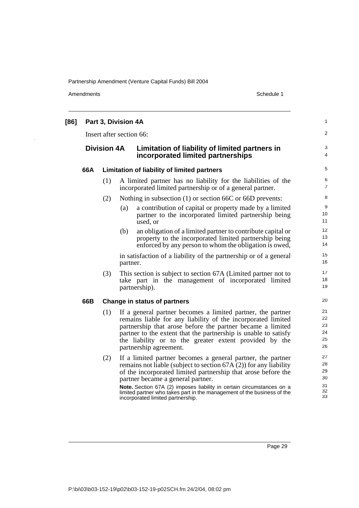Amendments Schedule 1

| [86] | Part 3, Division 4A      |                              |          |                                                                                                                                                                                                                                                                                                                                                  |                                  |  |
|------|--------------------------|------------------------------|----------|--------------------------------------------------------------------------------------------------------------------------------------------------------------------------------------------------------------------------------------------------------------------------------------------------------------------------------------------------|----------------------------------|--|
|      | Insert after section 66: |                              |          |                                                                                                                                                                                                                                                                                                                                                  |                                  |  |
|      | <b>Division 4A</b>       |                              |          | Limitation of liability of limited partners in<br>incorporated limited partnerships                                                                                                                                                                                                                                                              | 3<br>4                           |  |
|      | 66A                      |                              |          | Limitation of liability of limited partners                                                                                                                                                                                                                                                                                                      |                                  |  |
|      |                          | (1)                          |          | A limited partner has no liability for the liabilities of the<br>incorporated limited partnership or of a general partner.                                                                                                                                                                                                                       | 6<br>$\overline{7}$              |  |
|      |                          | (2)                          |          | Nothing in subsection (1) or section 66C or 66D prevents:                                                                                                                                                                                                                                                                                        | 8                                |  |
|      |                          |                              | (a)      | a contribution of capital or property made by a limited<br>partner to the incorporated limited partnership being<br>used, or                                                                                                                                                                                                                     | $\boldsymbol{9}$<br>10<br>11     |  |
|      |                          |                              | (b)      | an obligation of a limited partner to contribute capital or<br>property to the incorporated limited partnership being<br>enforced by any person to whom the obligation is owed,                                                                                                                                                                  | 12<br>13<br>14                   |  |
|      |                          |                              | partner. | in satisfaction of a liability of the partnership or of a general                                                                                                                                                                                                                                                                                | 15<br>16                         |  |
|      |                          | (3)                          |          | This section is subject to section 67A (Limited partner not to<br>take part in the management of incorporated limited<br>partnership).                                                                                                                                                                                                           | 17<br>18<br>19                   |  |
|      | 66B                      | Change in status of partners |          |                                                                                                                                                                                                                                                                                                                                                  |                                  |  |
|      |                          | (1)                          |          | If a general partner becomes a limited partner, the partner<br>remains liable for any liability of the incorporated limited<br>partnership that arose before the partner became a limited<br>partner to the extent that the partnership is unable to satisfy<br>the liability or to the greater extent provided by the<br>partnership agreement. | 21<br>22<br>23<br>24<br>25<br>26 |  |
|      |                          | (2)                          |          | If a limited partner becomes a general partner, the partner<br>remains not liable (subject to section $67A(2)$ ) for any liability<br>of the incorporated limited partnership that arose before the<br>partner became a general partner.                                                                                                         | 27<br>28<br>29<br>30             |  |
|      |                          |                              |          | Note. Section 67A (2) imposes liability in certain circumstances on a<br>limited partner who takes part in the management of the business of the<br>incorporated limited partnership.                                                                                                                                                            | 31<br>32<br>33                   |  |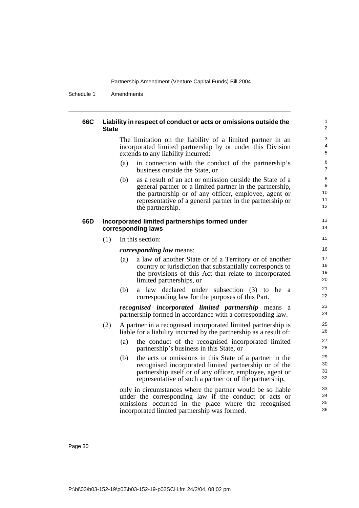Schedule 1 Amendments

| 66C | <b>State</b> | Liability in respect of conduct or acts or omissions outside the                                                                                                                                                                                                      |
|-----|--------------|-----------------------------------------------------------------------------------------------------------------------------------------------------------------------------------------------------------------------------------------------------------------------|
|     |              | The limitation on the liability of a limited partner in an<br>incorporated limited partnership by or under this Division<br>extends to any liability incurred:                                                                                                        |
|     |              | in connection with the conduct of the partnership's<br>(a)<br>business outside the State, or                                                                                                                                                                          |
|     |              | as a result of an act or omission outside the State of a<br>(b)<br>general partner or a limited partner in the partnership,<br>the partnership or of any officer, employee, agent or<br>representative of a general partner in the partnership or<br>the partnership. |
| 66D |              | Incorporated limited partnerships formed under<br>corresponding laws                                                                                                                                                                                                  |
|     | (1)          | In this section:                                                                                                                                                                                                                                                      |
|     |              | <i>corresponding law means:</i>                                                                                                                                                                                                                                       |
|     |              | a law of another State or of a Territory or of another<br>(a)<br>country or jurisdiction that substantially corresponds to<br>the provisions of this Act that relate to incorporated<br>limited partnerships, or                                                      |
|     |              | a law declared under subsection (3) to<br>(b)<br>be<br>a<br>corresponding law for the purposes of this Part.                                                                                                                                                          |
|     |              | recognised incorporated limited partnership means<br>a<br>partnership formed in accordance with a corresponding law.                                                                                                                                                  |
|     | (2)          | A partner in a recognised incorporated limited partnership is<br>liable for a liability incurred by the partnership as a result of:                                                                                                                                   |
|     |              | the conduct of the recognised incorporated limited<br>(a)<br>partnership's business in this State, or                                                                                                                                                                 |
|     |              | the acts or omissions in this State of a partner in the<br>(b)<br>recognised incorporated limited partnership or of the<br>partnership itself or of any officer, employee, agent or<br>representative of such a partner or of the partnership,                        |
|     |              | only in circumstances where the partner would be so liable<br>under the corresponding law if the conduct or acts or<br>omissions occurred in the place where the recognised<br>incorporated limited partnership was formed.                                           |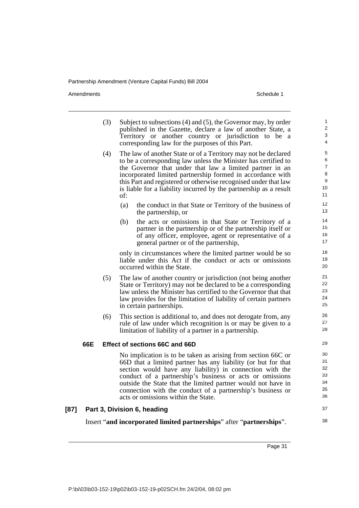Amendments Schedule 1

|      |     | (3) | Subject to subsections (4) and (5), the Governor may, by order<br>published in the Gazette, declare a law of another State, a | $\mathbf{1}$<br>2              |
|------|-----|-----|-------------------------------------------------------------------------------------------------------------------------------|--------------------------------|
|      |     |     | Territory or another country or jurisdiction to be a<br>corresponding law for the purposes of this Part.                      | $\ensuremath{\mathsf{3}}$<br>4 |
|      |     | (4) | The law of another State or of a Territory may not be declared                                                                | 5<br>6                         |
|      |     |     | to be a corresponding law unless the Minister has certified to<br>the Governor that under that law a limited partner in an    | $\overline{7}$                 |
|      |     |     | incorporated limited partnership formed in accordance with                                                                    | 8                              |
|      |     |     | this Part and registered or otherwise recognised under that law                                                               | 9                              |
|      |     |     | is liable for a liability incurred by the partnership as a result<br>of:                                                      | 10<br>11                       |
|      |     |     | (a)<br>the conduct in that State or Territory of the business of<br>the partnership, or                                       | 12<br>13                       |
|      |     |     | the acts or omissions in that State or Territory of a<br>(b)                                                                  | 14                             |
|      |     |     | partner in the partnership or of the partnership itself or                                                                    | 15<br>16                       |
|      |     |     | of any officer, employee, agent or representative of a<br>general partner or of the partnership,                              | 17                             |
|      |     |     |                                                                                                                               | 18                             |
|      |     |     | only in circumstances where the limited partner would be so<br>liable under this Act if the conduct or acts or omissions      | 19                             |
|      |     |     | occurred within the State.                                                                                                    | 20                             |
|      |     | (5) | The law of another country or jurisdiction (not being another                                                                 | 21                             |
|      |     |     | State or Territory) may not be declared to be a corresponding                                                                 | 22                             |
|      |     |     | law unless the Minister has certified to the Governor that that                                                               | 23<br>24                       |
|      |     |     | law provides for the limitation of liability of certain partners<br>in certain partnerships.                                  | 25                             |
|      |     | (6) | This section is additional to, and does not derogate from, any                                                                | 26                             |
|      |     |     | rule of law under which recognition is or may be given to a                                                                   | 27                             |
|      |     |     | limitation of liability of a partner in a partnership.                                                                        | 28                             |
|      | 66E |     | Effect of sections 66C and 66D                                                                                                | 29                             |
|      |     |     | No implication is to be taken as arising from section 66C or                                                                  | 30                             |
|      |     |     | 66D that a limited partner has any liability (or but for that                                                                 | 31                             |
|      |     |     | section would have any liability) in connection with the                                                                      | 32<br>33                       |
|      |     |     | conduct of a partnership's business or acts or omissions<br>outside the State that the limited partner would not have in      | 34                             |
|      |     |     | connection with the conduct of a partnership's business or                                                                    | 35                             |
|      |     |     | acts or omissions within the State.                                                                                           | 36                             |
| [87] |     |     | Part 3, Division 6, heading                                                                                                   | 37                             |

Insert "**and incorporated limited partnerships**" after "**partnerships**".

Page 31

38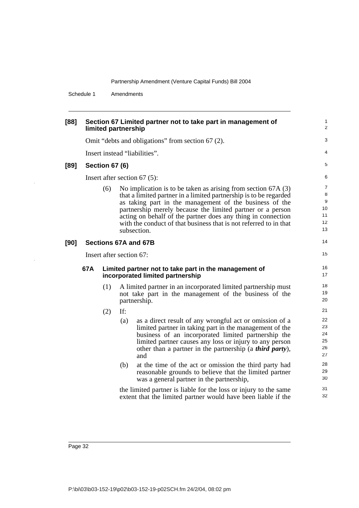Schedule 1 Amendments

| [88] | limited partnership                                                                                                               | Section 67 Limited partner not to take part in management of | 1<br>2                   |                                                                                                                                                                                                                                                                                                                                                                                                                  |                                                  |  |  |
|------|-----------------------------------------------------------------------------------------------------------------------------------|--------------------------------------------------------------|--------------------------|------------------------------------------------------------------------------------------------------------------------------------------------------------------------------------------------------------------------------------------------------------------------------------------------------------------------------------------------------------------------------------------------------------------|--------------------------------------------------|--|--|
|      |                                                                                                                                   |                                                              |                          | Omit "debts and obligations" from section 67 (2).                                                                                                                                                                                                                                                                                                                                                                | 3                                                |  |  |
|      | Insert instead "liabilities".                                                                                                     |                                                              |                          |                                                                                                                                                                                                                                                                                                                                                                                                                  |                                                  |  |  |
| [89] |                                                                                                                                   | <b>Section 67 (6)</b>                                        |                          |                                                                                                                                                                                                                                                                                                                                                                                                                  | 5                                                |  |  |
|      |                                                                                                                                   |                                                              |                          | Insert after section $67(5)$ :                                                                                                                                                                                                                                                                                                                                                                                   | 6                                                |  |  |
|      |                                                                                                                                   | (6)                                                          |                          | No implication is to be taken as arising from section $67A(3)$<br>that a limited partner in a limited partnership is to be regarded<br>as taking part in the management of the business of the<br>partnership merely because the limited partner or a person<br>acting on behalf of the partner does any thing in connection<br>with the conduct of that business that is not referred to in that<br>subsection. | $\overline{7}$<br>8<br>9<br>10<br>11<br>12<br>13 |  |  |
| [90] | Sections 67A and 67B                                                                                                              |                                                              |                          |                                                                                                                                                                                                                                                                                                                                                                                                                  |                                                  |  |  |
|      |                                                                                                                                   |                                                              | Insert after section 67: |                                                                                                                                                                                                                                                                                                                                                                                                                  | 15                                               |  |  |
|      | 67A                                                                                                                               |                                                              |                          | Limited partner not to take part in the management of<br>incorporated limited partnership                                                                                                                                                                                                                                                                                                                        | 16<br>17                                         |  |  |
|      |                                                                                                                                   | (1)                                                          |                          | A limited partner in an incorporated limited partnership must<br>not take part in the management of the business of the<br>partnership.                                                                                                                                                                                                                                                                          | 18<br>19<br>20                                   |  |  |
|      |                                                                                                                                   | (2)                                                          | If:                      |                                                                                                                                                                                                                                                                                                                                                                                                                  | 21                                               |  |  |
|      |                                                                                                                                   |                                                              | (a)                      | as a direct result of any wrongful act or omission of a<br>limited partner in taking part in the management of the<br>business of an incorporated limited partnership the<br>limited partner causes any loss or injury to any person<br>other than a partner in the partnership (a <i>third party</i> ),<br>and                                                                                                  | 22<br>23<br>24<br>25<br>26<br>27                 |  |  |
|      |                                                                                                                                   |                                                              | (b)                      | at the time of the act or omission the third party had<br>reasonable grounds to believe that the limited partner<br>was a general partner in the partnership,                                                                                                                                                                                                                                                    | 28<br>29<br>30                                   |  |  |
|      | the limited partner is liable for the loss or injury to the same<br>extent that the limited partner would have been liable if the |                                                              |                          |                                                                                                                                                                                                                                                                                                                                                                                                                  |                                                  |  |  |
|      |                                                                                                                                   |                                                              |                          |                                                                                                                                                                                                                                                                                                                                                                                                                  |                                                  |  |  |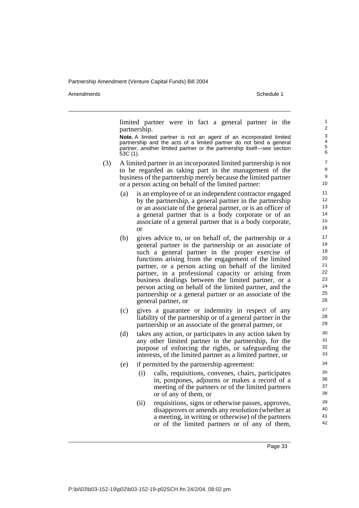Amendments **Amendments** Schedule 1

limited partner were in fact a general partner in the partnership.

**Note.** A limited partner is not an agent of an incorporated limited partnership and the acts of a limited partner do not bind a general partner, another limited partner or the partnership itself—see section 53C (1).

- (3) A limited partner in an incorporated limited partnership is not to be regarded as taking part in the management of the business of the partnership merely because the limited partner or a person acting on behalf of the limited partner:
	- (a) is an employee of or an independent contractor engaged by the partnership, a general partner in the partnership or an associate of the general partner, or is an officer of a general partner that is a body corporate or of an associate of a general partner that is a body corporate, or
	- (b) gives advice to, or on behalf of, the partnership or a general partner in the partnership or an associate of such a general partner in the proper exercise of functions arising from the engagement of the limited partner, or a person acting on behalf of the limited partner, in a professional capacity or arising from business dealings between the limited partner, or a person acting on behalf of the limited partner, and the partnership or a general partner or an associate of the general partner, or
	- (c) gives a guarantee or indemnity in respect of any liability of the partnership or of a general partner in the partnership or an associate of the general partner, or
	- (d) takes any action, or participates in any action taken by any other limited partner in the partnership, for the purpose of enforcing the rights, or safeguarding the interests, of the limited partner as a limited partner, or
	- (e) if permitted by the partnership agreement:
		- (i) calls, requisitions, convenes, chairs, participates in, postpones, adjourns or makes a record of a meeting of the partners or of the limited partners or of any of them, or
		- (ii) requisitions, signs or otherwise passes, approves, disapproves or amends any resolution (whether at a meeting, in writing or otherwise) of the partners or of the limited partners or of any of them,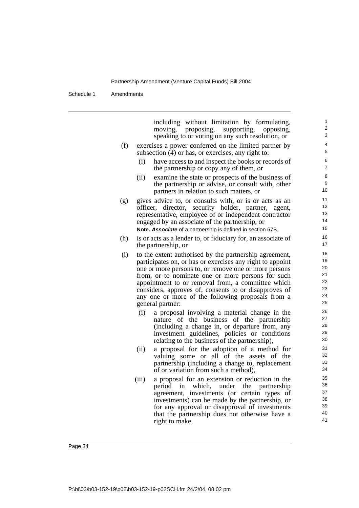Schedule 1 Amendments

|     | including without limitation by formulating,<br>moving,<br>proposing,<br>supporting,<br>opposing,           | 1<br>$\overline{2}$   |
|-----|-------------------------------------------------------------------------------------------------------------|-----------------------|
|     | speaking to or voting on any such resolution, or                                                            | 3                     |
| (f) | exercises a power conferred on the limited partner by<br>subsection (4) or has, or exercises, any right to: | 4<br>5                |
|     | (i)<br>have access to and inspect the books or records of<br>the partnership or copy any of them, or        | 6<br>$\boldsymbol{7}$ |
|     | (ii)<br>examine the state or prospects of the business of                                                   | 8                     |
|     | the partnership or advise, or consult with, other                                                           | 9                     |
|     | partners in relation to such matters, or                                                                    | 10                    |
| (g) | gives advice to, or consults with, or is or acts as an                                                      | 11                    |
|     | officer, director, security holder, partner,<br>agent,                                                      | 12                    |
|     | representative, employee of or independent contractor                                                       | 13                    |
|     | engaged by an associate of the partnership, or                                                              | 14                    |
|     | Note. Associate of a partnership is defined in section 67B.                                                 | 15                    |
| (h) | is or acts as a lender to, or fiduciary for, an associate of                                                | 16                    |
|     | the partnership, or                                                                                         | 17                    |
| (i) | to the extent authorised by the partnership agreement,                                                      | 18                    |
|     | participates on, or has or exercises any right to appoint                                                   | 19                    |
|     | one or more persons to, or remove one or more persons                                                       | 20                    |
|     | from, or to nominate one or more persons for such                                                           | 21                    |
|     | appointment to or removal from, a committee which                                                           | 22                    |
|     | considers, approves of, consents to or disapproves of                                                       | 23                    |
|     | any one or more of the following proposals from a                                                           | 24                    |
|     | general partner:                                                                                            | 25                    |
|     | (i)<br>a proposal involving a material change in the                                                        | 26                    |
|     | nature of the business<br>of the partnership                                                                | 27                    |
|     | (including a change in, or departure from, any                                                              | 28                    |
|     | investment guidelines, policies or conditions                                                               | 29                    |
|     | relating to the business of the partnership),                                                               | 30                    |
|     | a proposal for the adoption of a method for<br>(ii)                                                         | 31                    |
|     | valuing some or all of the assets of the                                                                    | 32                    |
|     | partnership (including a change to, replacement                                                             | 33                    |
|     | of or variation from such a method),                                                                        | 34                    |
|     | (iii)<br>a proposal for an extension or reduction in the                                                    | 35                    |
|     | period<br>in<br>which,<br>under<br>the<br>partnership                                                       | 36                    |
|     | agreement, investments (or certain types of                                                                 | 37                    |
|     | investments) can be made by the partnership, or                                                             | 38<br>39              |
|     | for any approval or disapproval of investments                                                              | 40                    |
|     | that the partnership does not otherwise have a                                                              | 41                    |
|     | right to make,                                                                                              |                       |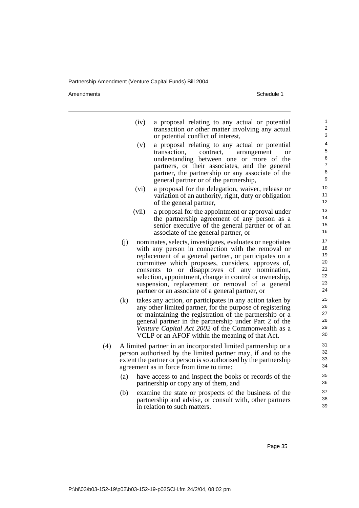Amendments **Amendments** Schedule 1

| (iv) a proposal relating to any actual or potential<br>transaction or other matter involving any actual<br>or potential conflict of interest,                                                                                                                                              |
|--------------------------------------------------------------------------------------------------------------------------------------------------------------------------------------------------------------------------------------------------------------------------------------------|
| (v) a proposal relating to any actual or potential<br>transaction, contract, arrangement<br>or<br>understanding between one or more of the<br>partners, or their associates, and the general<br>partner, the partnership or any associate of the<br>general partner or of the partnership, |

- (vi) a proposal for the delegation, waiver, release or variation of an authority, right, duty or obligation of the general partner,
- (vii) a proposal for the appointment or approval under the partnership agreement of any person as a senior executive of the general partner or of an associate of the general partner, or
- (j) nominates, selects, investigates, evaluates or negotiates with any person in connection with the removal or replacement of a general partner, or participates on a committee which proposes, considers, approves of, consents to or disapproves of any nomination, selection, appointment, change in control or ownership, suspension, replacement or removal of a general partner or an associate of a general partner, or
- (k) takes any action, or participates in any action taken by any other limited partner, for the purpose of registering or maintaining the registration of the partnership or a general partner in the partnership under Part 2 of the *Venture Capital Act 2002* of the Commonwealth as a VCLP or an AFOF within the meaning of that Act.
- (4) A limited partner in an incorporated limited partnership or a person authorised by the limited partner may, if and to the extent the partner or person is so authorised by the partnership agreement as in force from time to time:
	- (a) have access to and inspect the books or records of the partnership or copy any of them, and
	- (b) examine the state or prospects of the business of the partnership and advise, or consult with, other partners in relation to such matters.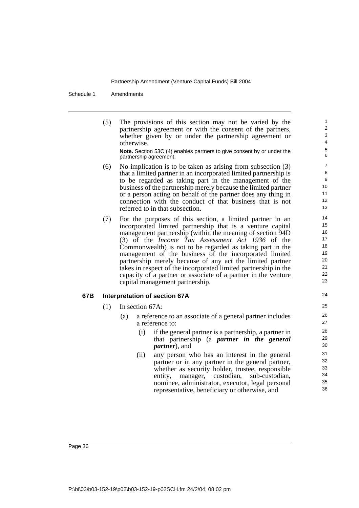Schedule 1 Amendments

(5) The provisions of this section may not be varied by the partnership agreement or with the consent of the partners, whether given by or under the partnership agreement or otherwise.

**Note.** Section 53C (4) enables partners to give consent by or under the partnership agreement.

- (6) No implication is to be taken as arising from subsection (3) that a limited partner in an incorporated limited partnership is to be regarded as taking part in the management of the business of the partnership merely because the limited partner or a person acting on behalf of the partner does any thing in connection with the conduct of that business that is not referred to in that subsection.
- (7) For the purposes of this section, a limited partner in an incorporated limited partnership that is a venture capital management partnership (within the meaning of section 94D (3) of the *Income Tax Assessment Act 1936* of the Commonwealth) is not to be regarded as taking part in the management of the business of the incorporated limited partnership merely because of any act the limited partner takes in respect of the incorporated limited partnership in the capacity of a partner or associate of a partner in the venture capital management partnership.

#### **67B Interpretation of section 67A**

(1) In section 67A:

- (a) a reference to an associate of a general partner includes a reference to:
	- (i) if the general partner is a partnership, a partner in that partnership (a *partner in the general partner*), and
	- (ii) any person who has an interest in the general partner or in any partner in the general partner, whether as security holder, trustee, responsible entity, manager, custodian, sub-custodian, nominee, administrator, executor, legal personal representative, beneficiary or otherwise, and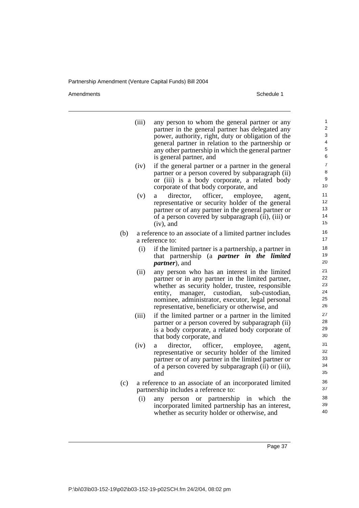Amendments Schedule 1

|     | (iii) | any person to whom the general partner or any<br>partner in the general partner has delegated any<br>power, authority, right, duty or obligation of the<br>general partner in relation to the partnership or                                                                                                       | $\mathbf{1}$<br>$\overline{2}$<br>3<br>4 |
|-----|-------|--------------------------------------------------------------------------------------------------------------------------------------------------------------------------------------------------------------------------------------------------------------------------------------------------------------------|------------------------------------------|
|     |       | any other partnership in which the general partner<br>is general partner, and                                                                                                                                                                                                                                      | 5<br>6                                   |
|     | (iv)  | if the general partner or a partner in the general<br>partner or a person covered by subparagraph (ii)<br>or (iii) is a body corporate, a related body                                                                                                                                                             | $\overline{\mathbf{7}}$<br>8<br>9<br>10  |
|     | (v)   | corporate of that body corporate, and<br>officer,<br>director,<br>employee,<br>a<br>agent,<br>representative or security holder of the general<br>partner or of any partner in the general partner or<br>of a person covered by subparagraph (ii), (iii) or<br>$(iv)$ , and                                        | 11<br>12<br>13<br>14<br>15               |
| (b) |       | a reference to an associate of a limited partner includes<br>a reference to:                                                                                                                                                                                                                                       | 16<br>17                                 |
|     | (i)   | if the limited partner is a partnership, a partner in<br>that partnership (a <i>partner in the</i><br><i>limited</i><br><i>partner</i> ), and                                                                                                                                                                      | 18<br>19<br>20                           |
|     | (ii)  | any person who has an interest in the limited<br>partner or in any partner in the limited partner,<br>whether as security holder, trustee, responsible<br>custodian,<br>entity,<br>manager,<br>sub-custodian,<br>nominee, administrator, executor, legal personal<br>representative, beneficiary or otherwise, and | 21<br>22<br>23<br>24<br>25<br>26         |
|     | (iii) | if the limited partner or a partner in the limited<br>partner or a person covered by subparagraph (ii)<br>is a body corporate, a related body corporate of<br>that body corporate, and                                                                                                                             | 27<br>28<br>29<br>30                     |
|     | (iv)  | officer,<br>director,<br>employee,<br>a<br>agent,<br>representative or security holder of the limited<br>partner or of any partner in the limited partner or<br>of a person covered by subparagraph (ii) or (iii),<br>and                                                                                          | 31<br>32<br>33<br>34<br>35               |
| (c) |       | a reference to an associate of an incorporated limited<br>partnership includes a reference to:                                                                                                                                                                                                                     | 36<br>37                                 |
|     | (i)   | person or partnership in which<br>the<br>any<br>incorporated limited partnership has an interest,<br>whether as security holder or otherwise, and                                                                                                                                                                  | 38<br>39<br>40                           |
|     |       |                                                                                                                                                                                                                                                                                                                    |                                          |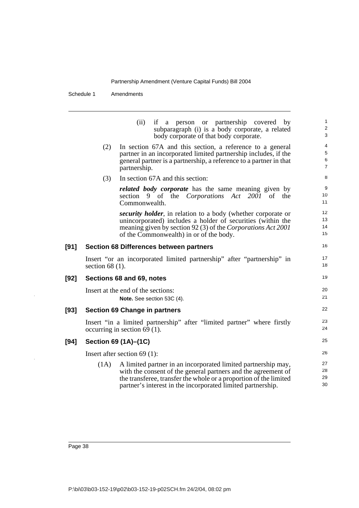Schedule 1 Amendments

(ii) if a person or partnership covered by subparagraph (i) is a body corporate, a related body corporate of that body corporate. (2) In section 67A and this section, a reference to a general partner in an incorporated limited partnership includes, if the general partner is a partnership, a reference to a partner in that partnership. (3) In section 67A and this section: *related body corporate* has the same meaning given by section 9 of the *Corporations Act 2001* of the Commonwealth. *security holder*, in relation to a body (whether corporate or unincorporated) includes a holder of securities (within the meaning given by section 92 (3) of the *Corporations Act 2001* of the Commonwealth) in or of the body. **[91] Section 68 Differences between partners**  Insert "or an incorporated limited partnership" after "partnership" in section 68 (1). **[92] Sections 68 and 69, notes** Insert at the end of the sections: **Note.** See section 53C (4). **[93] Section 69 Change in partners** Insert "in a limited partnership" after "limited partner" where firstly occurring in section  $6\overline{9}$  (1). **[94] Section 69 (1A)–(1C)** Insert after section 69 (1): (1A) A limited partner in an incorporated limited partnership may, with the consent of the general partners and the agreement of the transferee, transfer the whole or a proportion of the limited partner's interest in the incorporated limited partnership. 1  $\overline{2}$ 3 4 5 6 7 8 9 10 11 12 13 14 15 16 17 18 19 20 21 22 23 24 25 26 27 28 29 30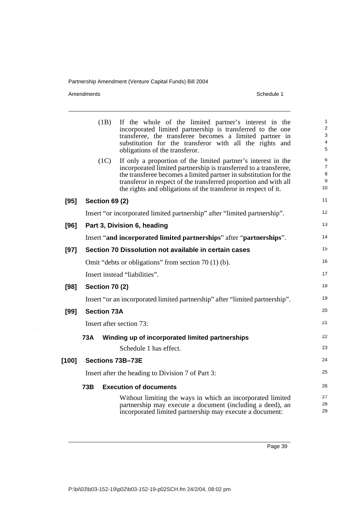Amendments Schedule 1

 $\ddot{\phantom{a}}$ 

|        | (1B)               | If the whole of the limited partner's interest in the<br>incorporated limited partnership is transferred to the one<br>transferee, the transferee becomes a limited partner in                                                                                                                                                              | 1<br>$\overline{\mathbf{c}}$<br>3<br>4 |
|--------|--------------------|---------------------------------------------------------------------------------------------------------------------------------------------------------------------------------------------------------------------------------------------------------------------------------------------------------------------------------------------|----------------------------------------|
|        |                    | substitution for the transferor with all the rights and<br>obligations of the transferor.                                                                                                                                                                                                                                                   | 5                                      |
|        | (1C)               | If only a proportion of the limited partner's interest in the<br>incorporated limited partnership is transferred to a transferee,<br>the transferee becomes a limited partner in substitution for the<br>transferor in respect of the transferred proportion and with all<br>the rights and obligations of the transferor in respect of it. | 6<br>7<br>8<br>9<br>10                 |
| [95]   | Section 69 (2)     |                                                                                                                                                                                                                                                                                                                                             | 11                                     |
|        |                    | Insert "or incorporated limited partnership" after "limited partnership".                                                                                                                                                                                                                                                                   | 12                                     |
| [96]   |                    | Part 3, Division 6, heading                                                                                                                                                                                                                                                                                                                 | 13                                     |
|        |                    | Insert "and incorporated limited partnerships" after "partnerships".                                                                                                                                                                                                                                                                        | 14                                     |
| $[97]$ |                    | Section 70 Dissolution not available in certain cases                                                                                                                                                                                                                                                                                       | 15                                     |
|        |                    | Omit "debts or obligations" from section 70 (1) (b).                                                                                                                                                                                                                                                                                        | 16                                     |
|        |                    | Insert instead "liabilities".                                                                                                                                                                                                                                                                                                               | 17                                     |
| $[98]$ | Section 70 (2)     |                                                                                                                                                                                                                                                                                                                                             | 18                                     |
|        |                    | Insert "or an incorporated limited partnership" after "limited partnership".                                                                                                                                                                                                                                                                | 19                                     |
| [99]   | <b>Section 73A</b> |                                                                                                                                                                                                                                                                                                                                             | 20                                     |
|        |                    | Insert after section 73:                                                                                                                                                                                                                                                                                                                    | 21                                     |
|        | <b>73A</b>         | Winding up of incorporated limited partnerships                                                                                                                                                                                                                                                                                             | 22                                     |
|        |                    | Schedule 1 has effect.                                                                                                                                                                                                                                                                                                                      | 23                                     |
| [100]  |                    | Sections 73B-73E                                                                                                                                                                                                                                                                                                                            | 24                                     |
|        |                    | Insert after the heading to Division 7 of Part 3:                                                                                                                                                                                                                                                                                           | 25                                     |
|        | 73B                | <b>Execution of documents</b>                                                                                                                                                                                                                                                                                                               | 26                                     |
|        |                    | Without limiting the ways in which an incorporated limited<br>partnership may execute a document (including a deed), an<br>incorporated limited partnership may execute a document:                                                                                                                                                         | 27<br>28<br>29                         |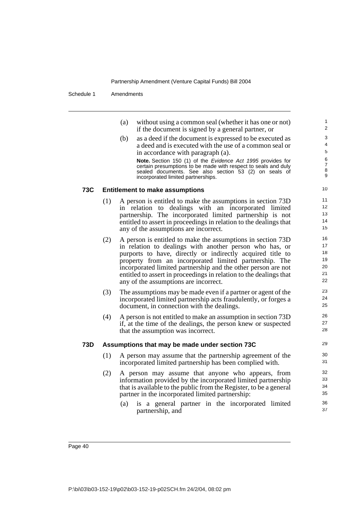Schedule 1 Amendments

| (a) without using a common seal (whether it has one or not) |
|-------------------------------------------------------------|
| if the document is signed by a general partner, or          |

(b) as a deed if the document is expressed to be executed as a deed and is executed with the use of a common seal or in accordance with paragraph (a). **Note.** Section 150 (1) of the Evidence Act 1995 provides for certain presumptions to be made with respect to seals and duly

sealed documents. See also section 53 (2) on seals of incorporated limited partnerships.

#### **73C Entitlement to make assumptions**

- (1) A person is entitled to make the assumptions in section 73D in relation to dealings with an incorporated limited partnership. The incorporated limited partnership is not entitled to assert in proceedings in relation to the dealings that any of the assumptions are incorrect.
- (2) A person is entitled to make the assumptions in section 73D in relation to dealings with another person who has, or purports to have, directly or indirectly acquired title to property from an incorporated limited partnership. The incorporated limited partnership and the other person are not entitled to assert in proceedings in relation to the dealings that any of the assumptions are incorrect.
- (3) The assumptions may be made even if a partner or agent of the incorporated limited partnership acts fraudulently, or forges a document, in connection with the dealings.
- (4) A person is not entitled to make an assumption in section 73D if, at the time of the dealings, the person knew or suspected that the assumption was incorrect.

#### **73D Assumptions that may be made under section 73C**

- (1) A person may assume that the partnership agreement of the incorporated limited partnership has been complied with.
- (2) A person may assume that anyone who appears, from information provided by the incorporated limited partnership that is available to the public from the Register, to be a general partner in the incorporated limited partnership:
	- (a) is a general partner in the incorporated limited partnership, and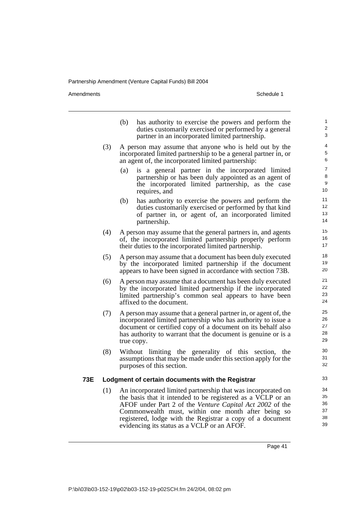Amendments Schedule 1

|     |     | (b) | has authority to exercise the powers and perform the<br>duties customarily exercised or performed by a general<br>partner in an incorporated limited partnership.                                                                                                                                                                                         | 1<br>$\overline{2}$<br>3         |
|-----|-----|-----|-----------------------------------------------------------------------------------------------------------------------------------------------------------------------------------------------------------------------------------------------------------------------------------------------------------------------------------------------------------|----------------------------------|
|     | (3) |     | A person may assume that anyone who is held out by the<br>incorporated limited partnership to be a general partner in, or<br>an agent of, the incorporated limited partnership:                                                                                                                                                                           | 4<br>5<br>6                      |
|     |     | (a) | is a general partner in the incorporated limited<br>partnership or has been duly appointed as an agent of<br>the incorporated limited partnership, as the case<br>requires, and                                                                                                                                                                           | $\overline{7}$<br>8<br>9<br>10   |
|     |     | (b) | has authority to exercise the powers and perform the<br>duties customarily exercised or performed by that kind<br>of partner in, or agent of, an incorporated limited<br>partnership.                                                                                                                                                                     | 11<br>12<br>13<br>14             |
|     | (4) |     | A person may assume that the general partners in, and agents<br>of, the incorporated limited partnership properly perform<br>their duties to the incorporated limited partnership.                                                                                                                                                                        | 15<br>16<br>17                   |
|     | (5) |     | A person may assume that a document has been duly executed<br>by the incorporated limited partnership if the document<br>appears to have been signed in accordance with section 73B.                                                                                                                                                                      | 18<br>19<br>20                   |
|     | (6) |     | A person may assume that a document has been duly executed<br>by the incorporated limited partnership if the incorporated<br>limited partnership's common seal appears to have been<br>affixed to the document.                                                                                                                                           | 21<br>22<br>23<br>24             |
|     | (7) |     | A person may assume that a general partner in, or agent of, the<br>incorporated limited partnership who has authority to issue a<br>document or certified copy of a document on its behalf also<br>has authority to warrant that the document is genuine or is a<br>true copy.                                                                            | 25<br>26<br>27<br>28<br>29       |
|     | (8) |     | Without limiting the generality of this<br>section,<br>the<br>assumptions that may be made under this section apply for the<br>purposes of this section.                                                                                                                                                                                                  | 30<br>31<br>32                   |
| 73E |     |     | Lodgment of certain documents with the Registrar                                                                                                                                                                                                                                                                                                          | 33                               |
|     | (1) |     | An incorporated limited partnership that was incorporated on<br>the basis that it intended to be registered as a VCLP or an<br>AFOF under Part 2 of the Venture Capital Act 2002 of the<br>Commonwealth must, within one month after being so<br>registered, lodge with the Registrar a copy of a document<br>evidencing its status as a VCLP or an AFOF. | 34<br>35<br>36<br>37<br>38<br>39 |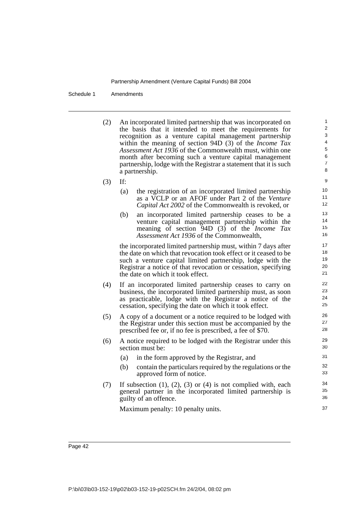Schedule 1 Amendments

(2) An incorporated limited partnership that was incorporated on the basis that it intended to meet the requirements for recognition as a venture capital management partnership within the meaning of section 94D (3) of the *Income Tax Assessment Act 1936* of the Commonwealth must, within one month after becoming such a venture capital management partnership, lodge with the Registrar a statement that it is such a partnership.

- (3) If:
	- (a) the registration of an incorporated limited partnership as a VCLP or an AFOF under Part 2 of the *Venture Capital Act 2002* of the Commonwealth is revoked, or
	- (b) an incorporated limited partnership ceases to be a venture capital management partnership within the meaning of section 94D (3) of the *Income Tax Assessment Act 1936* of the Commonwealth,

the incorporated limited partnership must, within 7 days after the date on which that revocation took effect or it ceased to be such a venture capital limited partnership, lodge with the Registrar a notice of that revocation or cessation, specifying the date on which it took effect.

- (4) If an incorporated limited partnership ceases to carry on business, the incorporated limited partnership must, as soon as practicable, lodge with the Registrar a notice of the cessation, specifying the date on which it took effect.
- (5) A copy of a document or a notice required to be lodged with the Registrar under this section must be accompanied by the prescribed fee or, if no fee is prescribed, a fee of \$70.
- (6) A notice required to be lodged with the Registrar under this section must be:
	- (a) in the form approved by the Registrar, and
	- (b) contain the particulars required by the regulations or the approved form of notice.
- $(7)$  If subsection  $(1)$ ,  $(2)$ ,  $(3)$  or  $(4)$  is not complied with, each general partner in the incorporated limited partnership is guilty of an offence.

Maximum penalty: 10 penalty units.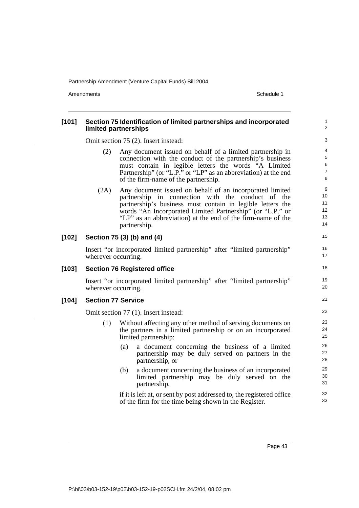Amendments **Amendments** Schedule 1

#### **[101] Section 75 Identification of limited partnerships and incorporated limited partnerships**  Omit section 75 (2). Insert instead: (2) Any document issued on behalf of a limited partnership in connection with the conduct of the partnership's business must contain in legible letters the words "A Limited Partnership" (or "L.P." or "LP" as an abbreviation) at the end of the firm-name of the partnership. (2A) Any document issued on behalf of an incorporated limited partnership in connection with the conduct of the partnership's business must contain in legible letters the words "An Incorporated Limited Partnership" (or "L.P." or "LP" as an abbreviation) at the end of the firm-name of the partnership. **[102] Section 75 (3) (b) and (4)** Insert "or incorporated limited partnership" after "limited partnership" wherever occurring. **[103] Section 76 Registered office**  Insert "or incorporated limited partnership" after "limited partnership" wherever occurring. **[104] Section 77 Service**  Omit section 77 (1). Insert instead: (1) Without affecting any other method of serving documents on the partners in a limited partnership or on an incorporated limited partnership: (a) a document concerning the business of a limited partnership may be duly served on partners in the partnership, or (b) a document concerning the business of an incorporated limited partnership may be duly served on the partnership, if it is left at, or sent by post addressed to, the registered office of the firm for the time being shown in the Register. 1  $\overline{2}$ 3 4 5 6 7 8 **9** 10 11 12 13 14 15 16 17 18 19 20 21 22 23 24 25 26 27 28 29 30 31 32 33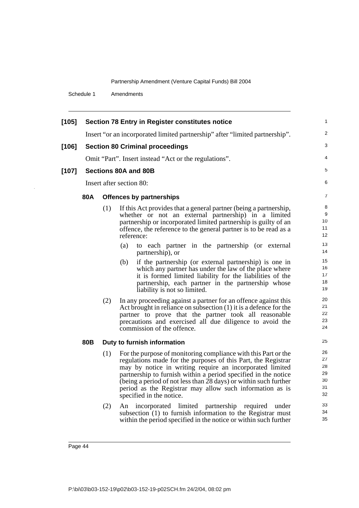Schedule 1 Amendments

l,

| $[105]$ | <b>Section 78 Entry in Register constitutes notice</b> |                                                                              |                                                                               |                 |  |  |  |  |
|---------|--------------------------------------------------------|------------------------------------------------------------------------------|-------------------------------------------------------------------------------|-----------------|--|--|--|--|
|         |                                                        | Insert "or an incorporated limited partnership" after "limited partnership". |                                                                               |                 |  |  |  |  |
| $[106]$ | <b>Section 80 Criminal proceedings</b>                 |                                                                              |                                                                               |                 |  |  |  |  |
|         |                                                        |                                                                              | Omit "Part". Insert instead "Act or the regulations".                         | 4               |  |  |  |  |
| $[107]$ |                                                        |                                                                              | Sections 80A and 80B                                                          | 5               |  |  |  |  |
|         |                                                        |                                                                              | Insert after section 80:                                                      | 6               |  |  |  |  |
|         |                                                        |                                                                              |                                                                               |                 |  |  |  |  |
|         | 80A                                                    |                                                                              | <b>Offences by partnerships</b>                                               | $\overline{7}$  |  |  |  |  |
|         |                                                        | (1)                                                                          | If this Act provides that a general partner (being a partnership,             | 8               |  |  |  |  |
|         |                                                        |                                                                              | whether or not an external partnership) in a limited                          | 9               |  |  |  |  |
|         |                                                        |                                                                              | partnership or incorporated limited partnership is guilty of an               | 10 <sup>°</sup> |  |  |  |  |
|         |                                                        |                                                                              | offence, the reference to the general partner is to be read as a              | 11              |  |  |  |  |
|         |                                                        |                                                                              | reference:                                                                    | 12              |  |  |  |  |
|         |                                                        |                                                                              | (a)<br>to each partner in the partnership (or external<br>partnership), or    | 13<br>14        |  |  |  |  |
|         |                                                        |                                                                              | if the partnership (or external partnership) is one in<br>(b)                 | 15              |  |  |  |  |
|         |                                                        |                                                                              | which any partner has under the law of the place where                        | 16              |  |  |  |  |
|         |                                                        |                                                                              | it is formed limited liability for the liabilities of the                     | 17              |  |  |  |  |
|         |                                                        |                                                                              | partnership, each partner in the partnership whose                            | 18              |  |  |  |  |
|         |                                                        |                                                                              | liability is not so limited.                                                  | 19              |  |  |  |  |
|         |                                                        | (2)                                                                          | In any proceeding against a partner for an offence against this               | 20              |  |  |  |  |
|         |                                                        |                                                                              | Act brought in reliance on subsection $(1)$ it is a defence for the           | 21              |  |  |  |  |
|         |                                                        |                                                                              | partner to prove that the partner took all reasonable                         | 22              |  |  |  |  |
|         |                                                        |                                                                              | precautions and exercised all due diligence to avoid the                      | 23              |  |  |  |  |
|         |                                                        |                                                                              | commission of the offence.                                                    | 24              |  |  |  |  |
|         | 80B                                                    |                                                                              | Duty to furnish information                                                   | 25              |  |  |  |  |
|         |                                                        | (1)                                                                          | For the purpose of monitoring compliance with this Part or the                | 26              |  |  |  |  |
|         |                                                        |                                                                              | regulations made for the purposes of this Part, the Registrar                 | 27              |  |  |  |  |
|         |                                                        |                                                                              | may by notice in writing require an incorporated limited                      | 28              |  |  |  |  |
|         |                                                        |                                                                              | partnership to furnish within a period specified in the notice                | 29              |  |  |  |  |
|         |                                                        |                                                                              | (being a period of not less than $\overline{28}$ days) or within such further | 30              |  |  |  |  |
|         |                                                        |                                                                              | period as the Registrar may allow such information as is                      | 31              |  |  |  |  |
|         |                                                        |                                                                              | specified in the notice.                                                      | 32              |  |  |  |  |
|         |                                                        | (2)                                                                          | An incorporated limited partnership required<br>under                         | 33              |  |  |  |  |
|         |                                                        |                                                                              | subsection (1) to furnish information to the Registrar must                   | 34              |  |  |  |  |
|         |                                                        |                                                                              | within the period specified in the notice or within such further              | 35              |  |  |  |  |
|         |                                                        |                                                                              |                                                                               |                 |  |  |  |  |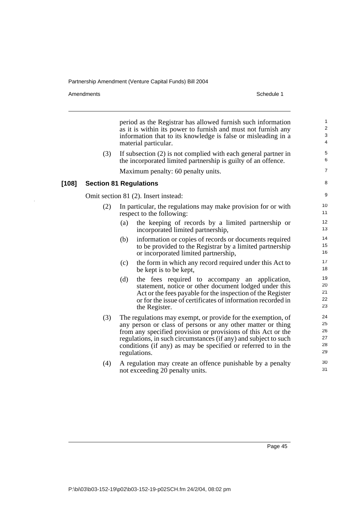Amendments **Amendments** Schedule 1

period as the Registrar has allowed furnish such information as it is within its power to furnish and must not furnish any information that to its knowledge is false or misleading in a material particular. (3) If subsection (2) is not complied with each general partner in the incorporated limited partnership is guilty of an offence. Maximum penalty: 60 penalty units. **[108] Section 81 Regulations**  Omit section 81 (2). Insert instead: (2) In particular, the regulations may make provision for or with respect to the following: (a) the keeping of records by a limited partnership or incorporated limited partnership, (b) information or copies of records or documents required to be provided to the Registrar by a limited partnership or incorporated limited partnership, (c) the form in which any record required under this Act to be kept is to be kept, (d) the fees required to accompany an application, statement, notice or other document lodged under this Act or the fees payable for the inspection of the Register or for the issue of certificates of information recorded in the Register. (3) The regulations may exempt, or provide for the exemption, of any person or class of persons or any other matter or thing from any specified provision or provisions of this Act or the regulations, in such circumstances (if any) and subject to such conditions (if any) as may be specified or referred to in the regulations. (4) A regulation may create an offence punishable by a penalty not exceeding 20 penalty units. 1  $\overline{2}$ 3 4 5 6 7 8 9 10 11 12 13 14 15 16 17 18 19 20 21 22 23 24 25 26 27 28 29 30 31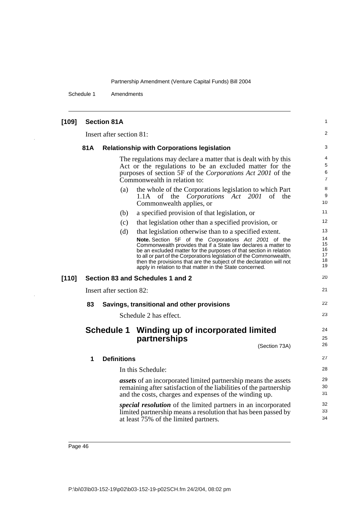Schedule 1 Amendments

| $[109]$ |                                  | <b>Section 81A</b> |                                                                                                                                                                                                                                                                                                                                                                                                                | 1                                |  |  |  |  |
|---------|----------------------------------|--------------------|----------------------------------------------------------------------------------------------------------------------------------------------------------------------------------------------------------------------------------------------------------------------------------------------------------------------------------------------------------------------------------------------------------------|----------------------------------|--|--|--|--|
|         | Insert after section 81:         |                    |                                                                                                                                                                                                                                                                                                                                                                                                                |                                  |  |  |  |  |
|         | 81A                              |                    | <b>Relationship with Corporations legislation</b>                                                                                                                                                                                                                                                                                                                                                              | 3                                |  |  |  |  |
|         |                                  |                    | The regulations may declare a matter that is dealt with by this<br>Act or the regulations to be an excluded matter for the<br>purposes of section 5F of the Corporations Act 2001 of the<br>Commonwealth in relation to:                                                                                                                                                                                       | 4<br>5<br>6<br>$\overline{7}$    |  |  |  |  |
|         |                                  | (a)                | the whole of the Corporations legislation to which Part<br>1.1A of the <i>Corporations</i> Act 2001<br>of the<br>Commonwealth applies, or                                                                                                                                                                                                                                                                      | 8<br>9<br>10                     |  |  |  |  |
|         |                                  | (b)                | a specified provision of that legislation, or                                                                                                                                                                                                                                                                                                                                                                  | 11                               |  |  |  |  |
|         |                                  | (c)                | that legislation other than a specified provision, or                                                                                                                                                                                                                                                                                                                                                          | 12                               |  |  |  |  |
|         |                                  | (d)                | that legislation otherwise than to a specified extent.                                                                                                                                                                                                                                                                                                                                                         | 13                               |  |  |  |  |
|         |                                  |                    | <b>Note.</b> Section 5F of the Corporations Act 2001 of the<br>Commonwealth provides that if a State law declares a matter to<br>be an excluded matter for the purposes of that section in relation<br>to all or part of the Corporations legislation of the Commonwealth,<br>then the provisions that are the subject of the declaration will not<br>apply in relation to that matter in the State concerned. | 14<br>15<br>16<br>17<br>18<br>19 |  |  |  |  |
| [110]   | Section 83 and Schedules 1 and 2 |                    |                                                                                                                                                                                                                                                                                                                                                                                                                |                                  |  |  |  |  |
|         | Insert after section 82:         |                    |                                                                                                                                                                                                                                                                                                                                                                                                                |                                  |  |  |  |  |
|         | 83                               |                    | Savings, transitional and other provisions                                                                                                                                                                                                                                                                                                                                                                     |                                  |  |  |  |  |
|         |                                  |                    | Schedule 2 has effect.                                                                                                                                                                                                                                                                                                                                                                                         | 23                               |  |  |  |  |
|         |                                  | <b>Schedule 1</b>  | Winding up of incorporated limited                                                                                                                                                                                                                                                                                                                                                                             | 24                               |  |  |  |  |
|         |                                  |                    | partnerships<br>(Section 73A)                                                                                                                                                                                                                                                                                                                                                                                  | 25<br>26                         |  |  |  |  |
|         | 1                                | <b>Definitions</b> |                                                                                                                                                                                                                                                                                                                                                                                                                | 27                               |  |  |  |  |
|         |                                  |                    | In this Schedule:                                                                                                                                                                                                                                                                                                                                                                                              | 28                               |  |  |  |  |
|         |                                  |                    | assets of an incorporated limited partnership means the assets<br>remaining after satisfaction of the liabilities of the partnership<br>and the costs, charges and expenses of the winding up.                                                                                                                                                                                                                 | 29<br>30<br>31                   |  |  |  |  |
|         |                                  |                    | <i>special resolution</i> of the limited partners in an incorporated<br>limited partnership means a resolution that has been passed by<br>at least 75% of the limited partners.                                                                                                                                                                                                                                | 32<br>33<br>34                   |  |  |  |  |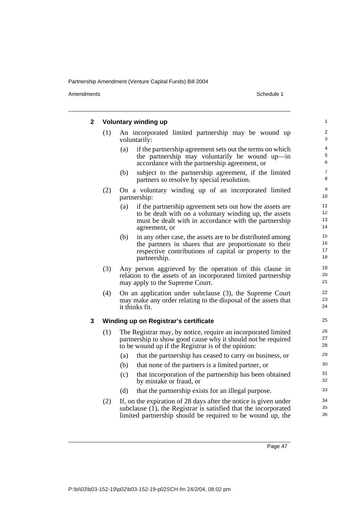Amendments Schedule 1

| 2 |     | <b>Voluntary winding up</b>                                                                                                                                                                          | 1                    |
|---|-----|------------------------------------------------------------------------------------------------------------------------------------------------------------------------------------------------------|----------------------|
|   | (1) | An incorporated limited partnership may be wound up<br>voluntarily:                                                                                                                                  | 2<br>3               |
|   |     | if the partnership agreement sets out the terms on which<br>(a)<br>the partnership may voluntarily be wound up—in<br>accordance with the partnership agreement, or                                   | 4<br>5<br>6          |
|   |     | subject to the partnership agreement, if the limited<br>(b)<br>partners so resolve by special resolution.                                                                                            | $\overline{7}$<br>8  |
|   | (2) | On a voluntary winding up of an incorporated limited<br>partnership:                                                                                                                                 | 9<br>10              |
|   |     | (a)<br>if the partnership agreement sets out how the assets are<br>to be dealt with on a voluntary winding up, the assets<br>must be dealt with in accordance with the partnership<br>agreement, or  | 11<br>12<br>13<br>14 |
|   |     | in any other case, the assets are to be distributed among<br>(b)<br>the partners in shares that are proportionate to their<br>respective contributions of capital or property to the<br>partnership. | 15<br>16<br>17<br>18 |
|   | (3) | Any person aggrieved by the operation of this clause in<br>relation to the assets of an incorporated limited partnership<br>may apply to the Supreme Court.                                          | 19<br>20<br>21       |
|   | (4) | On an application under subclause (3), the Supreme Court<br>may make any order relating to the disposal of the assets that<br>it thinks fit.                                                         | 22<br>23<br>24       |
| 3 |     | Winding up on Registrar's certificate                                                                                                                                                                | 25                   |
|   | (1) | The Registrar may, by notice, require an incorporated limited<br>partnership to show good cause why it should not be required<br>to be wound up if the Registrar is of the opinion:                  | 26<br>27<br>28       |
|   |     | that the partnership has ceased to carry on business, or<br>(a)                                                                                                                                      | 29                   |
|   |     | that none of the partners is a limited partner, or<br>(b)                                                                                                                                            | 30                   |
|   |     | (c)<br>that incorporation of the partnership has been obtained<br>by mistake or fraud, or                                                                                                            | 31<br>32             |
|   |     | (d)<br>that the partnership exists for an illegal purpose.                                                                                                                                           | 33                   |
|   | (2) | If, on the expiration of 28 days after the notice is given under<br>subclause (1), the Registrar is satisfied that the incorporated<br>limited partnership should be required to be wound up, the    | 34<br>35<br>36       |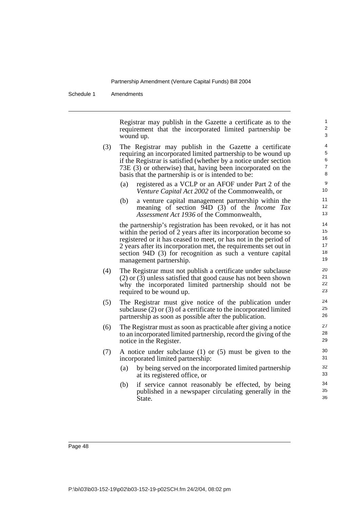Schedule 1 Amendments

Registrar may publish in the Gazette a certificate as to the requirement that the incorporated limited partnership be wound up.

- (3) The Registrar may publish in the Gazette a certificate requiring an incorporated limited partnership to be wound up if the Registrar is satisfied (whether by a notice under section 73E (3) or otherwise) that, having been incorporated on the basis that the partnership is or is intended to be:
	- (a) registered as a VCLP or an AFOF under Part 2 of the *Venture Capital Act 2002* of the Commonwealth, or
	- (b) a venture capital management partnership within the meaning of section 94D (3) of the *Income Tax Assessment Act 1936* of the Commonwealth,

the partnership's registration has been revoked, or it has not within the period of 2 years after its incorporation become so registered or it has ceased to meet, or has not in the period of 2 years after its incorporation met, the requirements set out in section 94D (3) for recognition as such a venture capital management partnership.

- (4) The Registrar must not publish a certificate under subclause (2) or (3) unless satisfied that good cause has not been shown why the incorporated limited partnership should not be required to be wound up.
- (5) The Registrar must give notice of the publication under subclause (2) or (3) of a certificate to the incorporated limited partnership as soon as possible after the publication.
- (6) The Registrar must as soon as practicable after giving a notice to an incorporated limited partnership, record the giving of the notice in the Register.
- (7) A notice under subclause (1) or (5) must be given to the incorporated limited partnership:
	- (a) by being served on the incorporated limited partnership at its registered office, or
	- (b) if service cannot reasonably be effected, by being published in a newspaper circulating generally in the State.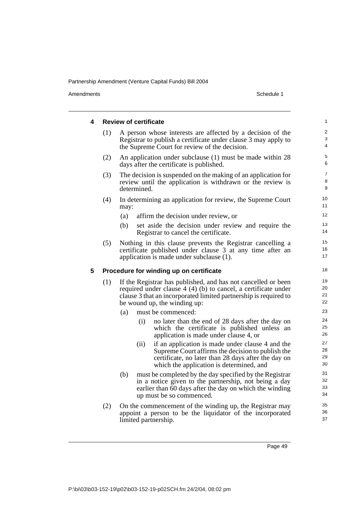Amendments Schedule 1

| 4 |     | <b>Review of certificate</b>                                                                                                                                                                                                        | 1                          |
|---|-----|-------------------------------------------------------------------------------------------------------------------------------------------------------------------------------------------------------------------------------------|----------------------------|
|   | (1) | A person whose interests are affected by a decision of the<br>Registrar to publish a certificate under clause 3 may apply to<br>the Supreme Court for review of the decision.                                                       | $\boldsymbol{2}$<br>3<br>4 |
|   | (2) | An application under subclause (1) must be made within 28<br>days after the certificate is published.                                                                                                                               | 5<br>6                     |
|   | (3) | The decision is suspended on the making of an application for<br>review until the application is withdrawn or the review is<br>determined.                                                                                          | $\overline{7}$<br>8<br>9   |
|   | (4) | In determining an application for review, the Supreme Court<br>may:                                                                                                                                                                 | 10<br>11                   |
|   |     | (a)<br>affirm the decision under review, or                                                                                                                                                                                         | 12                         |
|   |     | set aside the decision under review and require the<br>(b)<br>Registrar to cancel the certificate.                                                                                                                                  | 13<br>14                   |
|   | (5) | Nothing in this clause prevents the Registrar cancelling a<br>certificate published under clause 3 at any time after an<br>application is made under subclause (1).                                                                 | 15<br>16<br>17             |
| 5 |     | Procedure for winding up on certificate                                                                                                                                                                                             | 18                         |
|   | (1) | If the Registrar has published, and has not cancelled or been<br>required under clause $4(4)(b)$ to cancel, a certificate under<br>clause 3 that an incorporated limited partnership is required to<br>be wound up, the winding up: | 19<br>20<br>21<br>22       |
|   |     | (a)<br>must be commenced:                                                                                                                                                                                                           | 23                         |
|   |     | (i)<br>no later than the end of 28 days after the day on<br>which the certificate is published unless an<br>application is made under clause 4, or                                                                                  | 24<br>25<br>26             |
|   |     | if an application is made under clause 4 and the<br>(ii)<br>Supreme Court affirms the decision to publish the<br>certificate, no later than 28 days after the day on<br>which the application is determined, and                    | 27<br>28<br>29<br>30       |
|   |     | must be completed by the day specified by the Registrar<br>(b)<br>in a notice given to the partnership, not being a day<br>earlier than 60 days after the day on which the winding<br>up must be so commenced.                      | 31<br>32<br>33<br>34       |
|   | (2) | On the commencement of the winding up, the Registrar may<br>appoint a person to be the liquidator of the incorporated<br>limited partnership.                                                                                       | 35<br>36<br>37             |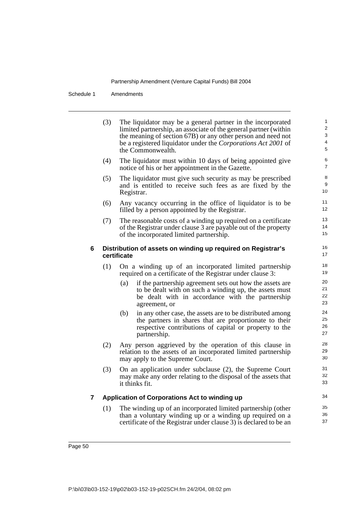Schedule 1 Amendments

|   | (3) | The liquidator may be a general partner in the incorporated<br>limited partnership, an associate of the general partner (within<br>the meaning of section 67B) or any other person and need not<br>be a registered liquidator under the Corporations Act 2001 of<br>the Commonwealth. | 1<br>$\overline{2}$<br>3<br>4<br>5 |
|---|-----|---------------------------------------------------------------------------------------------------------------------------------------------------------------------------------------------------------------------------------------------------------------------------------------|------------------------------------|
|   | (4) | The liquidator must within 10 days of being appointed give<br>notice of his or her appointment in the Gazette.                                                                                                                                                                        | 6<br>$\overline{7}$                |
|   | (5) | The liquidator must give such security as may be prescribed<br>and is entitled to receive such fees as are fixed by the<br>Registrar.                                                                                                                                                 | 8<br>9<br>10                       |
|   | (6) | Any vacancy occurring in the office of liquidator is to be<br>filled by a person appointed by the Registrar.                                                                                                                                                                          | 11<br>12                           |
|   | (7) | The reasonable costs of a winding up required on a certificate<br>of the Registrar under clause 3 are payable out of the property<br>of the incorporated limited partnership.                                                                                                         | 13<br>14<br>15                     |
| 6 |     | Distribution of assets on winding up required on Registrar's<br>certificate                                                                                                                                                                                                           | 16<br>17                           |
|   | (1) | On a winding up of an incorporated limited partnership<br>required on a certificate of the Registrar under clause 3:                                                                                                                                                                  | 18<br>19                           |
|   |     | if the partnership agreement sets out how the assets are<br>(a)<br>to be dealt with on such a winding up, the assets must<br>be dealt with in accordance with the partnership<br>agreement, or                                                                                        | 20<br>21<br>22<br>23               |
|   |     | in any other case, the assets are to be distributed among<br>(b)<br>the partners in shares that are proportionate to their<br>respective contributions of capital or property to the<br>partnership.                                                                                  | 24<br>25<br>26<br>27               |
|   | (2) | Any person aggrieved by the operation of this clause in<br>relation to the assets of an incorporated limited partnership<br>may apply to the Supreme Court.                                                                                                                           | 28<br>29<br>30                     |
|   | (3) | On an application under subclause (2), the Supreme Court<br>may make any order relating to the disposal of the assets that<br>it thinks fit.                                                                                                                                          | 31<br>32<br>33                     |
| 7 |     | Application of Corporations Act to winding up                                                                                                                                                                                                                                         | 34                                 |
|   | (1) | The winding up of an incorporated limited partnership (other<br>than a voluntary winding up or a winding up required on a<br>certificate of the Registrar under clause 3) is declared to be an                                                                                        | 35<br>36<br>37                     |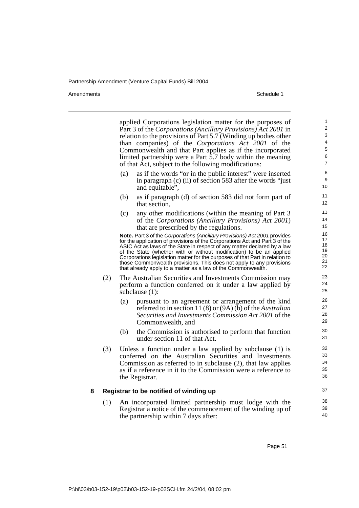Amendments Schedule 1

|   |     | applied Corporations legislation matter for the purposes of                                                                                             | 1               |
|---|-----|---------------------------------------------------------------------------------------------------------------------------------------------------------|-----------------|
|   |     | Part 3 of the Corporations (Ancillary Provisions) Act 2001 in                                                                                           | 2<br>3          |
|   |     | relation to the provisions of Part 5.7 (Winding up bodies other                                                                                         | $\overline{4}$  |
|   |     | than companies) of the <i>Corporations Act 2001</i> of the<br>Commonwealth and that Part applies as if the incorporated                                 | $\sqrt{5}$      |
|   |     | limited partnership were a Part 5.7 body within the meaning                                                                                             | 6               |
|   |     | of that Act, subject to the following modifications:                                                                                                    | $\overline{7}$  |
|   |     | as if the words "or in the public interest" were inserted<br>(a)                                                                                        | 8               |
|   |     | in paragraph (c) (ii) of section 583 after the words "just"                                                                                             | 9               |
|   |     | and equitable",                                                                                                                                         | 10              |
|   |     | as if paragraph (d) of section 583 did not form part of<br>(b)                                                                                          | 11              |
|   |     | that section,                                                                                                                                           | 12 <sup>2</sup> |
|   |     | any other modifications (within the meaning of Part 3<br>(c)                                                                                            | 13              |
|   |     | of the Corporations (Ancillary Provisions) Act 2001)                                                                                                    | 14              |
|   |     | that are prescribed by the regulations.                                                                                                                 | 15              |
|   |     | Note. Part 3 of the Corporations (Ancillary Provisions) Act 2001 provides                                                                               | 16              |
|   |     | for the application of provisions of the Corporations Act and Part 3 of the<br>ASIC Act as laws of the State in respect of any matter declared by a law | 17<br>18        |
|   |     | of the State (whether with or without modification) to be an applied                                                                                    | 19              |
|   |     | Corporations legislation matter for the purposes of that Part in relation to                                                                            | 20<br>21        |
|   |     | those Commonwealth provisions. This does not apply to any provisions<br>that already apply to a matter as a law of the Commonwealth.                    | 22              |
|   | (2) | The Australian Securities and Investments Commission may                                                                                                | 23              |
|   |     | perform a function conferred on it under a law applied by                                                                                               | 24              |
|   |     | subclause $(1)$ :                                                                                                                                       | 25              |
|   |     | pursuant to an agreement or arrangement of the kind<br>(a)                                                                                              | 26              |
|   |     | referred to in section 11 (8) or $(9A)$ (b) of the Australian                                                                                           | 27<br>28        |
|   |     | Securities and Investments Commission Act 2001 of the                                                                                                   | 29              |
|   |     | Commonwealth, and                                                                                                                                       |                 |
|   |     | (b)<br>the Commission is authorised to perform that function                                                                                            | 30<br>31        |
|   |     | under section 11 of that Act.                                                                                                                           |                 |
|   | (3) | Unless a function under a law applied by subclause (1) is                                                                                               | 32              |
|   |     | conferred on the Australian Securities and Investments                                                                                                  | 33              |
|   |     | Commission as referred to in subclause (2), that law applies                                                                                            | 34              |
|   |     | as if a reference in it to the Commission were a reference to                                                                                           | 35<br>36        |
|   |     | the Registrar.                                                                                                                                          |                 |
| 8 |     | Registrar to be notified of winding up                                                                                                                  | 37              |
|   | (1) | An incorporated limited partnership must lodge with the                                                                                                 | 38              |
|   |     | Registrar a notice of the commencement of the winding up of                                                                                             | 39              |
|   |     | the partnership within 7 days after:                                                                                                                    | 40              |
|   |     |                                                                                                                                                         |                 |
|   |     |                                                                                                                                                         |                 |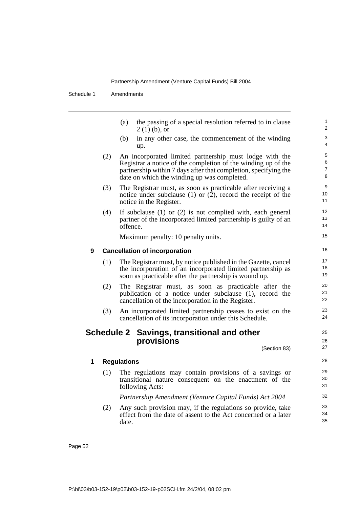Schedule 1 Amendments

|   |     | (a)<br>$2(1)(b)$ , or                | the passing of a special resolution referred to in clause                                                                                                                                                                                  | 1<br>2                        |
|---|-----|--------------------------------------|--------------------------------------------------------------------------------------------------------------------------------------------------------------------------------------------------------------------------------------------|-------------------------------|
|   |     | (b)<br>up.                           | in any other case, the commencement of the winding                                                                                                                                                                                         | 3<br>4                        |
|   | (2) |                                      | An incorporated limited partnership must lodge with the<br>Registrar a notice of the completion of the winding up of the<br>partnership within 7 days after that completion, specifying the<br>date on which the winding up was completed. | 5<br>6<br>$\overline{7}$<br>8 |
|   | (3) | notice in the Register.              | The Registrar must, as soon as practicable after receiving a<br>notice under subclause $(1)$ or $(2)$ , record the receipt of the                                                                                                          | 9<br>10<br>11                 |
|   | (4) | offence.                             | If subclause $(1)$ or $(2)$ is not complied with, each general<br>partner of the incorporated limited partnership is guilty of an                                                                                                          | 12<br>13<br>14                |
|   |     |                                      | Maximum penalty: 10 penalty units.                                                                                                                                                                                                         | 15                            |
| 9 |     | <b>Cancellation of incorporation</b> |                                                                                                                                                                                                                                            | 16                            |
|   | (1) |                                      | The Registrar must, by notice published in the Gazette, cancel<br>the incorporation of an incorporated limited partnership as<br>soon as practicable after the partnership is wound up.                                                    | 17<br>18<br>19                |
|   | (2) |                                      | The Registrar must, as soon as practicable after the<br>publication of a notice under subclause (1), record the<br>cancellation of the incorporation in the Register.                                                                      | 20<br>21<br>22                |
|   | (3) |                                      | An incorporated limited partnership ceases to exist on the<br>cancellation of its incorporation under this Schedule.                                                                                                                       | 23<br>24                      |
|   |     | provisions                           | Schedule 2 Savings, transitional and other<br>(Section 83)                                                                                                                                                                                 | 25<br>26<br>27                |
| 1 |     | <b>Regulations</b>                   |                                                                                                                                                                                                                                            | 28                            |
|   | (1) | following Acts:                      | The regulations may contain provisions of a savings or<br>transitional nature consequent on the enactment of the                                                                                                                           | 29<br>30<br>31                |
|   |     |                                      | Partnership Amendment (Venture Capital Funds) Act 2004                                                                                                                                                                                     | 32                            |
|   | (2) |                                      | Any such provision may, if the regulations so provide, take<br>effect from the date of assent to the Act concerned or a later                                                                                                              | 33<br>34                      |

35

date.